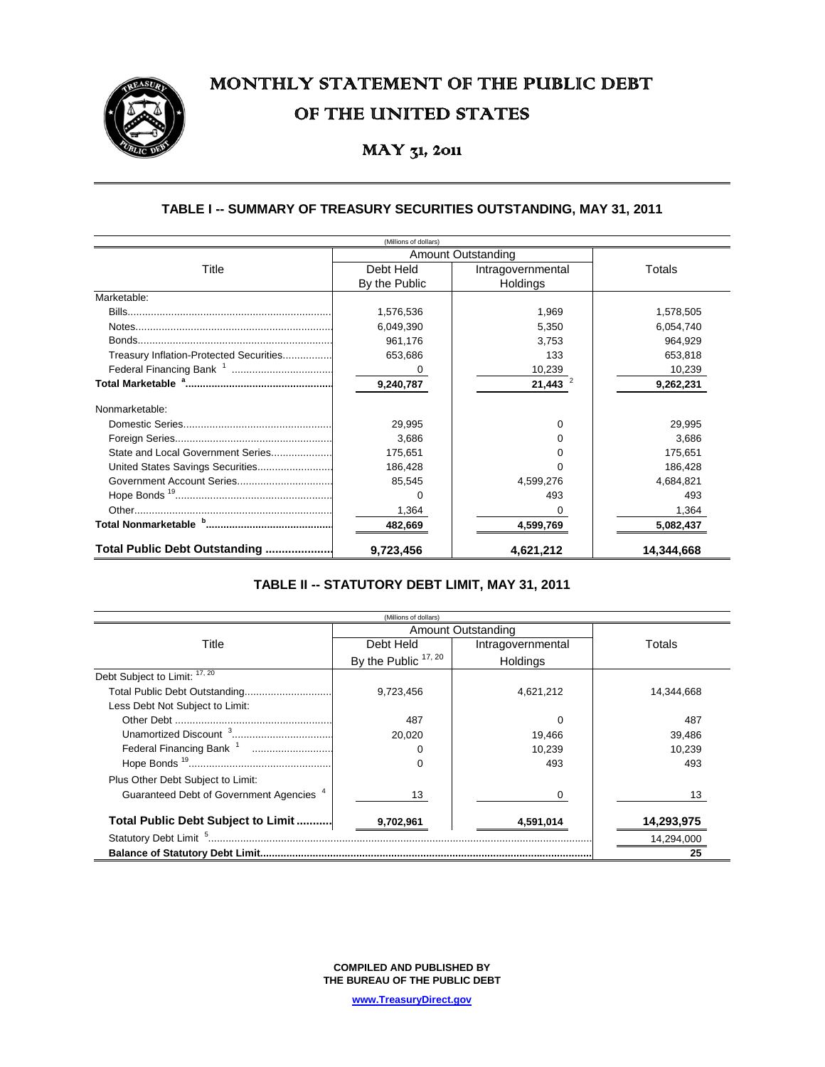# MONTHLY STATEMENT OF THE PUBLIC DEBT OF THE UNITED STATES

# MAY 31, 2011

### **TABLE I -- SUMMARY OF TREASURY SECURITIES OUTSTANDING, MAY 31, 2011**

|                                         | (Millions of dollars) |                           |            |
|-----------------------------------------|-----------------------|---------------------------|------------|
|                                         |                       | <b>Amount Outstanding</b> |            |
| Title                                   | Debt Held             | Intragovernmental         | Totals     |
|                                         | By the Public         | Holdings                  |            |
| Marketable:                             |                       |                           |            |
|                                         | 1,576,536             | 1,969                     | 1,578,505  |
|                                         | 6,049,390             | 5,350                     | 6,054,740  |
|                                         | 961,176               | 3.753                     | 964,929    |
| Treasury Inflation-Protected Securities | 653,686               | 133                       | 653,818    |
|                                         | $\Omega$              | 10,239                    | 10,239     |
|                                         | 9,240,787             | 21,443                    | 9,262,231  |
| Nonmarketable:                          |                       |                           |            |
|                                         | 29,995                | 0                         | 29,995     |
|                                         | 3,686                 | 0                         | 3.686      |
| State and Local Government Series       | 175,651               | 0                         | 175,651    |
| United States Savings Securities        | 186,428               | ∩                         | 186,428    |
|                                         | 85,545                | 4,599,276                 | 4,684,821  |
|                                         | 0                     | 493                       | 493        |
|                                         | 1,364                 | 0                         | 1,364      |
|                                         | 482,669               | 4,599,769                 | 5,082,437  |
| Total Public Debt Outstanding           | 9,723,456             | 4,621,212                 | 14,344,668 |

## **TABLE II -- STATUTORY DEBT LIMIT, MAY 31, 2011**

|                                                     | (Millions of dollars) |                    |            |
|-----------------------------------------------------|-----------------------|--------------------|------------|
|                                                     |                       | Amount Outstanding |            |
| Title                                               | Debt Held             | Intragovernmental  | Totals     |
|                                                     | By the Public 17, 20  | Holdings           |            |
| Debt Subject to Limit: $17,20$                      |                       |                    |            |
|                                                     | 9,723,456             | 4,621,212          | 14,344,668 |
| Less Debt Not Subject to Limit:                     |                       |                    |            |
|                                                     | 487                   | <sup>0</sup>       | 487        |
|                                                     | 20,020                | 19,466             | 39,486     |
| Federal Financing Bank <sup>1</sup>                 | 0                     | 10,239             | 10,239     |
|                                                     | 0                     | 493                | 493        |
| Plus Other Debt Subject to Limit:                   |                       |                    |            |
| Guaranteed Debt of Government Agencies <sup>4</sup> | 13                    |                    | 13         |
| Total Public Debt Subject to Limit                  | 9,702,961             | 4,591,014          | 14,293,975 |
|                                                     |                       |                    | 14,294,000 |
|                                                     |                       |                    | 25         |

**COMPILED AND PUBLISHED BY THE BUREAU OF THE PUBLIC DEBT**

**www.TreasuryDirect.gov**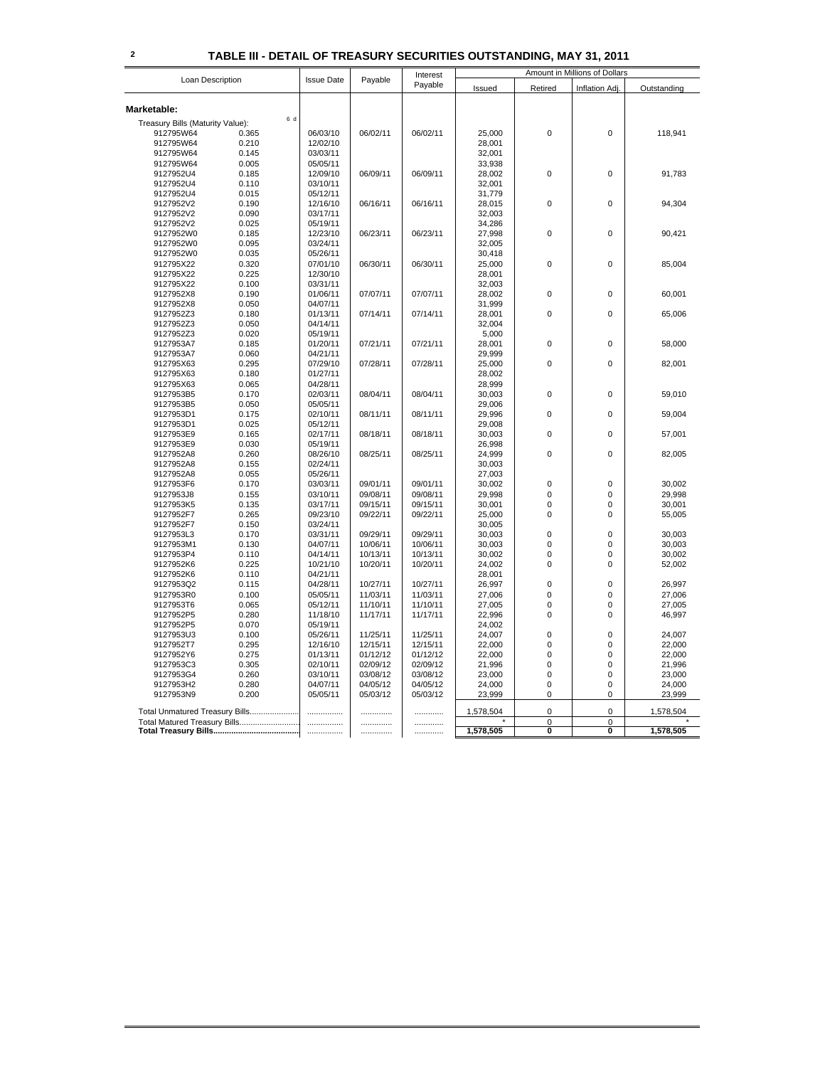### **2 TABLE III - DETAIL OF TREASURY SECURITIES OUTSTANDING, MAY 31, 2011**

| Loan Description                 |       | Interest          |          | Amount in Millions of Dollars |           |             |                         |             |
|----------------------------------|-------|-------------------|----------|-------------------------------|-----------|-------------|-------------------------|-------------|
|                                  |       | <b>Issue Date</b> | Payable  | Payable                       | Issued    | Retired     | <b>Inflation Adj</b>    | Outstanding |
| Marketable:                      |       |                   |          |                               |           |             |                         |             |
|                                  | 6 d   |                   |          |                               |           |             |                         |             |
| Treasury Bills (Maturity Value): |       |                   |          |                               |           |             |                         |             |
| 912795W64                        | 0.365 | 06/03/10          | 06/02/11 | 06/02/11                      | 25,000    | 0           | $\pmb{0}$               | 118,941     |
| 912795W64                        | 0.210 | 12/02/10          |          |                               | 28,001    |             |                         |             |
| 912795W64                        | 0.145 | 03/03/11          |          |                               | 32,001    |             |                         |             |
| 912795W64                        | 0.005 | 05/05/11          |          |                               | 33,938    |             |                         |             |
| 9127952U4                        | 0.185 | 12/09/10          | 06/09/11 | 06/09/11                      | 28,002    | $\mathbf 0$ | $\mathbf 0$             | 91,783      |
| 9127952U4                        | 0.110 | 03/10/11          |          |                               | 32,001    |             |                         |             |
| 9127952U4                        | 0.015 | 05/12/11          |          |                               | 31,779    |             |                         |             |
| 9127952V2                        | 0.190 | 12/16/10          | 06/16/11 | 06/16/11                      | 28,015    | 0           | $\mathbf 0$             | 94,304      |
| 9127952V2                        | 0.090 | 03/17/11          |          |                               | 32,003    |             |                         |             |
| 9127952V2                        | 0.025 | 05/19/11          |          |                               | 34,286    |             |                         |             |
| 9127952W0                        | 0.185 | 12/23/10          | 06/23/11 | 06/23/11                      | 27,998    | 0           | $\mathbf 0$             | 90,421      |
| 9127952W0                        | 0.095 | 03/24/11          |          |                               | 32,005    |             |                         |             |
| 9127952W0                        | 0.035 | 05/26/11          |          |                               | 30,418    |             |                         |             |
| 912795X22                        | 0.320 | 07/01/10          | 06/30/11 | 06/30/11                      | 25,000    | 0           | $\mathbf 0$             | 85.004      |
| 912795X22                        | 0.225 | 12/30/10          |          |                               | 28,001    |             |                         |             |
| 912795X22                        | 0.100 | 03/31/11          |          |                               | 32,003    |             |                         |             |
|                                  |       |                   |          |                               |           |             | $\mathbf 0$             |             |
| 9127952X8                        | 0.190 | 01/06/11          | 07/07/11 | 07/07/11                      | 28,002    | 0           |                         | 60,001      |
| 9127952X8                        | 0.050 | 04/07/11          |          |                               | 31,999    |             |                         |             |
| 9127952Z3                        | 0.180 | 01/13/11          | 07/14/11 | 07/14/11                      | 28,001    | 0           | $\mathbf 0$             | 65,006      |
| 9127952Z3                        | 0.050 | 04/14/11          |          |                               | 32,004    |             |                         |             |
| 9127952Z3                        | 0.020 | 05/19/11          |          |                               | 5,000     |             |                         |             |
| 9127953A7                        | 0.185 | 01/20/11          | 07/21/11 | 07/21/11                      | 28,001    | 0           | $\mathbf 0$             | 58,000      |
| 9127953A7                        | 0.060 | 04/21/11          |          |                               | 29,999    |             |                         |             |
| 912795X63                        | 0.295 | 07/29/10          | 07/28/11 | 07/28/11                      | 25,000    | 0           | $\mathbf 0$             | 82,001      |
| 912795X63                        | 0.180 | 01/27/11          |          |                               | 28,002    |             |                         |             |
| 912795X63                        | 0.065 | 04/28/11          |          |                               | 28,999    |             |                         |             |
| 9127953B5                        | 0.170 | 02/03/11          | 08/04/11 | 08/04/11                      | 30,003    | $\mathbf 0$ | $\mathbf 0$             | 59,010      |
| 9127953B5                        | 0.050 | 05/05/11          |          |                               | 29,006    |             |                         |             |
| 9127953D1                        | 0.175 | 02/10/11          | 08/11/11 | 08/11/11                      | 29,996    | 0           | $\mathbf 0$             | 59,004      |
| 9127953D1                        | 0.025 | 05/12/11          |          |                               | 29,008    |             |                         |             |
| 9127953E9                        | 0.165 | 02/17/11          | 08/18/11 | 08/18/11                      | 30,003    | 0           | $\mathbf 0$             | 57,001      |
| 9127953E9                        | 0.030 | 05/19/11          |          |                               | 26,998    |             |                         |             |
| 9127952A8                        | 0.260 | 08/26/10          | 08/25/11 | 08/25/11                      | 24,999    | $\mathbf 0$ | $\Omega$                | 82,005      |
| 9127952A8                        | 0.155 | 02/24/11          |          |                               | 30,003    |             |                         |             |
| 9127952A8                        | 0.055 | 05/26/11          |          |                               | 27,003    |             |                         |             |
|                                  | 0.170 | 03/03/11          | 09/01/11 | 09/01/11                      | 30,002    | 0           | $\mathbf 0$             | 30,002      |
| 9127953F6                        |       |                   |          |                               |           | 0           | $\mathbf 0$             |             |
| 9127953J8                        | 0.155 | 03/10/11          | 09/08/11 | 09/08/11                      | 29,998    |             |                         | 29,998      |
| 9127953K5                        | 0.135 | 03/17/11          | 09/15/11 | 09/15/11                      | 30,001    | 0           | 0                       | 30,001      |
| 9127952F7                        | 0.265 | 09/23/10          | 09/22/11 | 09/22/11                      | 25,000    | 0           | 0                       | 55,005      |
| 9127952F7                        | 0.150 | 03/24/11          |          |                               | 30,005    |             |                         |             |
| 9127953L3                        | 0.170 | 03/31/11          | 09/29/11 | 09/29/11                      | 30,003    | $\mathbf 0$ | $\mathbf 0$             | 30,003      |
| 9127953M1                        | 0.130 | 04/07/11          | 10/06/11 | 10/06/11                      | 30,003    | 0           | $\mathbf 0$             | 30,003      |
| 9127953P4                        | 0.110 | 04/14/11          | 10/13/11 | 10/13/11                      | 30,002    | 0           | $\mathbf 0$             | 30,002      |
| 9127952K6                        | 0.225 | 10/21/10          | 10/20/11 | 10/20/11                      | 24,002    | 0           | $\mathbf 0$             | 52,002      |
| 9127952K6                        | 0.110 | 04/21/11          |          |                               | 28,001    |             |                         |             |
| 9127953Q2                        | 0.115 | 04/28/11          | 10/27/11 | 10/27/11                      | 26,997    | $\mathbf 0$ | $\pmb{0}$               | 26,997      |
| 9127953R0                        | 0.100 | 05/05/11          | 11/03/11 | 11/03/11                      | 27,006    | 0           | $\mathbf 0$             | 27,006      |
| 9127953T6                        | 0.065 | 05/12/11          | 11/10/11 | 11/10/11                      | 27,005    | 0           | $\mathbf 0$             | 27,005      |
| 9127952P5                        | 0.280 | 11/18/10          | 11/17/11 | 11/17/11                      | 22,996    | 0           | 0                       | 46,997      |
| 9127952P5                        | 0.070 | 05/19/11          |          |                               | 24,002    |             |                         |             |
| 9127953U3                        | 0.100 | 05/26/11          | 11/25/11 | 11/25/11                      | 24,007    | 0           | $\mathbf 0$             | 24,007      |
| 9127952T7                        | 0.295 | 12/16/10          | 12/15/11 | 12/15/11                      | 22,000    | $\mathbf 0$ | $\pmb{0}$               | 22,000      |
| 9127952Y6                        | 0.275 | 01/13/11          | 01/12/12 | 01/12/12                      | 22,000    | 0           | $\mathbf 0$             | 22,000      |
| 9127953C3                        | 0.305 | 02/10/11          | 02/09/12 | 02/09/12                      | 21,996    | 0           | $\mathbf 0$             | 21,996      |
| 9127953G4                        | 0.260 | 03/10/11          | 03/08/12 | 03/08/12                      | 23,000    | 0           | 0                       | 23,000      |
| 9127953H2                        | 0.280 | 04/07/11          | 04/05/12 | 04/05/12                      | 24,000    | 0           | $\mathbf 0$             | 24,000      |
| 9127953N9                        | 0.200 | 05/05/11          | 05/03/12 | 05/03/12                      | 23,999    | 0           | 0                       | 23,999      |
|                                  |       |                   |          |                               |           |             |                         |             |
| Total Unmatured Treasury Bills   |       |                   |          | .                             | 1,578,504 | 0           | $\mathbf 0$             | 1,578,504   |
| Total Matured Treasury Bills     |       |                   |          |                               |           | 0           | $\mathbf 0$             |             |
|                                  |       |                   | .        | .                             | 1,578,505 | O           | $\overline{\mathbf{0}}$ | 1,578,505   |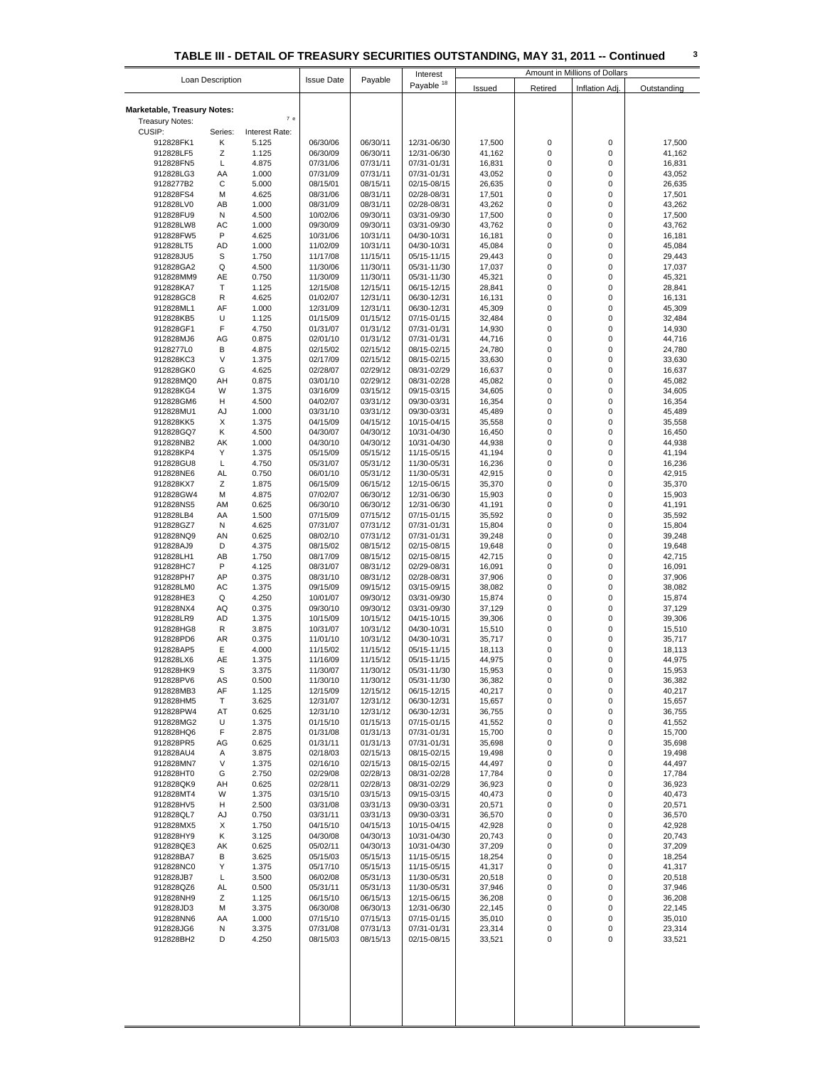|                             |                  |                |                   |          | Interest              |        |             | Amount in Millions of Dollars |             |
|-----------------------------|------------------|----------------|-------------------|----------|-----------------------|--------|-------------|-------------------------------|-------------|
|                             | Loan Description |                | <b>Issue Date</b> | Payable  | Payable <sup>18</sup> | Issued | Retired     | Inflation Adj.                | Outstanding |
|                             |                  |                |                   |          |                       |        |             |                               |             |
|                             |                  |                |                   |          |                       |        |             |                               |             |
| Marketable, Treasury Notes: |                  |                |                   |          |                       |        |             |                               |             |
| <b>Treasury Notes:</b>      |                  | 7 e            |                   |          |                       |        |             |                               |             |
| CUSIP:                      | Series:          | Interest Rate: |                   |          |                       |        |             |                               |             |
|                             |                  |                |                   |          |                       |        |             |                               |             |
| 912828FK1                   | Κ                | 5.125          | 06/30/06          | 06/30/11 | 12/31-06/30           | 17,500 | $\mathbf 0$ | 0                             | 17,500      |
| 912828LF5                   | Ζ                | 1.125          | 06/30/09          | 06/30/11 | 12/31-06/30           | 41,162 | $\mathbf 0$ | 0                             | 41,162      |
| 912828FN5                   | L                | 4.875          | 07/31/06          | 07/31/11 | 07/31-01/31           | 16,831 | 0           | 0                             | 16,831      |
| 912828LG3                   | AA               | 1.000          | 07/31/09          | 07/31/11 | 07/31-01/31           | 43,052 | $\mathbf 0$ | 0                             | 43,052      |
| 9128277B2                   | С                | 5.000          | 08/15/01          | 08/15/11 | 02/15-08/15           | 26,635 | $\mathbf 0$ | 0                             | 26,635      |
|                             |                  |                |                   |          |                       |        |             |                               |             |
| 912828FS4                   | М                | 4.625          | 08/31/06          | 08/31/11 | 02/28-08/31           | 17,501 | $\mathbf 0$ | 0                             | 17,501      |
| 912828LV0                   | AB               | 1.000          | 08/31/09          | 08/31/11 | 02/28-08/31           | 43,262 | 0           | 0                             | 43,262      |
| 912828FU9                   | Ν                | 4.500          | 10/02/06          | 09/30/11 | 03/31-09/30           | 17,500 | 0           | 0                             | 17,500      |
|                             | AC               |                |                   | 09/30/11 | 03/31-09/30           |        | $\mathbf 0$ | 0                             |             |
| 912828LW8                   |                  | 1.000          | 09/30/09          |          |                       | 43,762 |             |                               | 43,762      |
| 912828FW5                   | P                | 4.625          | 10/31/06          | 10/31/11 | 04/30-10/31           | 16,181 | $\mathbf 0$ | 0                             | 16,181      |
| 912828LT5                   | AD               | 1.000          | 11/02/09          | 10/31/11 | 04/30-10/31           | 45,084 | $\mathbf 0$ | 0                             | 45,084      |
| 912828JU5                   | S                | 1.750          | 11/17/08          | 11/15/11 | 05/15-11/15           | 29,443 | $\mathbf 0$ | 0                             | 29,443      |
| 912828GA2                   | Q                | 4.500          | 11/30/06          | 11/30/11 | 05/31-11/30           | 17,037 | $\mathbf 0$ | 0                             |             |
|                             |                  |                |                   |          |                       |        |             |                               | 17,037      |
| 912828MM9                   | AE               | 0.750          | 11/30/09          | 11/30/11 | 05/31-11/30           | 45,321 | 0           | 0                             | 45,321      |
| 912828KA7                   | T                | 1.125          | 12/15/08          | 12/15/11 | 06/15-12/15           | 28,841 | $\mathbf 0$ | 0                             | 28,841      |
| 912828GC8                   | R                | 4.625          | 01/02/07          | 12/31/11 | 06/30-12/31           | 16,131 | 0           | 0                             | 16,131      |
| 912828ML1                   | AF               | 1.000          | 12/31/09          | 12/31/11 | 06/30-12/31           | 45,309 | $\mathbf 0$ | 0                             | 45,309      |
|                             |                  |                |                   |          |                       |        |             |                               |             |
| 912828KB5                   | U                | 1.125          | 01/15/09          | 01/15/12 | 07/15-01/15           | 32,484 | $\mathbf 0$ | 0                             | 32,484      |
| 912828GF1                   | F                | 4.750          | 01/31/07          | 01/31/12 | 07/31-01/31           | 14,930 | $\mathbf 0$ | 0                             | 14,930      |
| 912828MJ6                   | AG               | 0.875          | 02/01/10          | 01/31/12 | 07/31-01/31           | 44,716 | $\mathbf 0$ | 0                             | 44,716      |
| 9128277L0                   | В                | 4.875          | 02/15/02          | 02/15/12 | 08/15-02/15           | 24,780 | 0           | 0                             | 24,780      |
| 912828KC3                   | V                | 1.375          | 02/17/09          | 02/15/12 | 08/15-02/15           |        | $\mathbf 0$ | 0                             |             |
|                             |                  |                |                   |          |                       | 33,630 |             |                               | 33,630      |
| 912828GK0                   | G                | 4.625          | 02/28/07          | 02/29/12 | 08/31-02/29           | 16,637 | $\mathbf 0$ | 0                             | 16,637      |
| 912828MQ0                   | AH               | 0.875          | 03/01/10          | 02/29/12 | 08/31-02/28           | 45,082 | 0           | 0                             | 45,082      |
| 912828KG4                   | W                | 1.375          | 03/16/09          | 03/15/12 | 09/15-03/15           | 34,605 | $\mathbf 0$ | 0                             | 34,605      |
|                             |                  |                |                   |          |                       |        | $\mathbf 0$ | 0                             |             |
| 912828GM6                   | н                | 4.500          | 04/02/07          | 03/31/12 | 09/30-03/31           | 16,354 |             |                               | 16,354      |
| 912828MU1                   | AJ               | 1.000          | 03/31/10          | 03/31/12 | 09/30-03/31           | 45,489 | $\mathbf 0$ | 0                             | 45,489      |
| 912828KK5                   | X                | 1.375          | 04/15/09          | 04/15/12 | 10/15-04/15           | 35,558 | 0           | 0                             | 35,558      |
| 912828GQ7                   | Κ                | 4.500          | 04/30/07          | 04/30/12 | 10/31-04/30           | 16,450 | $\mathbf 0$ | 0                             | 16,450      |
| 912828NB2                   | АK               | 1.000          |                   | 04/30/12 |                       | 44,938 | $\mathbf 0$ | 0                             | 44,938      |
|                             |                  |                | 04/30/10          |          | 10/31-04/30           |        |             |                               |             |
| 912828KP4                   | Υ                | 1.375          | 05/15/09          | 05/15/12 | 11/15-05/15           | 41,194 | $\mathbf 0$ | 0                             | 41,194      |
| 912828GU8                   | L                | 4.750          | 05/31/07          | 05/31/12 | 11/30-05/31           | 16,236 | 0           | 0                             | 16,236      |
| 912828NE6                   | AL               | 0.750          | 06/01/10          | 05/31/12 | 11/30-05/31           | 42,915 | 0           | 0                             | 42,915      |
| 912828KX7                   | Ζ                | 1.875          | 06/15/09          | 06/15/12 | 12/15-06/15           | 35,370 | $\mathbf 0$ | 0                             | 35,370      |
| 912828GW4                   | М                | 4.875          | 07/02/07          | 06/30/12 | 12/31-06/30           | 15,903 | $\mathbf 0$ | 0                             | 15,903      |
|                             |                  |                |                   |          |                       |        |             |                               |             |
| 912828NS5                   | AM               | 0.625          | 06/30/10          | 06/30/12 | 12/31-06/30           | 41,191 | $\mathbf 0$ | 0                             | 41,191      |
| 912828LB4                   | AA               | 1.500          | 07/15/09          | 07/15/12 | 07/15-01/15           | 35,592 | $\mathbf 0$ | 0                             | 35,592      |
| 912828GZ7                   | Ν                | 4.625          | 07/31/07          | 07/31/12 | 07/31-01/31           | 15,804 | $\mathbf 0$ | 0                             | 15,804      |
| 912828NQ9                   | AN               | 0.625          | 08/02/10          | 07/31/12 | 07/31-01/31           | 39,248 | $\mathbf 0$ | 0                             | 39,248      |
| 912828AJ9                   | D                | 4.375          | 08/15/02          | 08/15/12 | 02/15-08/15           | 19,648 | $\mathbf 0$ | 0                             | 19,648      |
|                             |                  |                |                   |          |                       |        |             |                               |             |
| 912828LH1                   | AB               | 1.750          | 08/17/09          | 08/15/12 | 02/15-08/15           | 42,715 | 0           | 0                             | 42,715      |
| 912828HC7                   | P                | 4.125          | 08/31/07          | 08/31/12 | 02/29-08/31           | 16,091 | $\mathbf 0$ | 0                             | 16,091      |
| 912828PH7                   | AP               | 0.375          | 08/31/10          | 08/31/12 | 02/28-08/31           | 37,906 | $\mathbf 0$ | 0                             | 37,906      |
| 912828LM0                   | AC               | 1.375          | 09/15/09          | 09/15/12 | 03/15-09/15           | 38,082 | $\mathbf 0$ | 0                             | 38,082      |
|                             | Q                | 4.250          | 10/01/07          | 09/30/12 | 03/31-09/30           |        | $\mathbf 0$ | 0                             |             |
| 912828HE3                   |                  |                |                   |          |                       | 15,874 |             |                               | 15,874      |
| 912828NX4                   | AQ               | 0.375          | 09/30/10          | 09/30/12 | 03/31-09/30           | 37,129 | 0           | 0                             | 37,129      |
| 912828LR9                   | AD               | 1.375          | 10/15/09          | 10/15/12 | 04/15-10/15           | 39,306 | $\mathbf 0$ | 0                             | 39,306      |
| 912828HG8                   | R                | 3.875          | 10/31/07          | 10/31/12 | 04/30-10/31           | 15,510 | $\mathbf 0$ | 0                             | 15,510      |
| 912828PD6                   | AR               | 0.375          | 11/01/10          | 10/31/12 | 04/30-10/31           | 35,717 | 0           | 0                             | 35,717      |
| 912828AP5                   | Ε                | 4.000          | 11/15/02          | 11/15/12 | 05/15-11/15           | 18,113 | 0           | 0                             | 18,113      |
|                             |                  |                |                   |          |                       |        |             |                               |             |
| 912828LX6                   | AE               | 1.375          | 11/16/09          | 11/15/12 | 05/15-11/15           | 44,975 | $\mathbf 0$ | 0                             | 44,975      |
| 912828HK9                   | s                | 3.375          | 11/30/07          | 11/30/12 | 05/31-11/30           | 15,953 | 0           | 0                             | 15,953      |
| 912828PV6                   | AS               | 0.500          | 11/30/10          | 11/30/12 | 05/31-11/30           | 36,382 | 0           | 0                             | 36,382      |
| 912828MB3                   | AF               | 1.125          | 12/15/09          | 12/15/12 | 06/15-12/15           | 40,217 | 0           | 0                             | 40,217      |
|                             |                  |                |                   |          |                       |        |             |                               |             |
| 912828HM5                   | T                | 3.625          | 12/31/07          | 12/31/12 | 06/30-12/31           | 15,657 | 0           | 0                             | 15,657      |
| 912828PW4                   | AT               | 0.625          | 12/31/10          | 12/31/12 | 06/30-12/31           | 36,755 | 0           | 0                             | 36,755      |
| 912828MG2                   | U                | 1.375          | 01/15/10          | 01/15/13 | 07/15-01/15           | 41,552 | 0           | 0                             | 41,552      |
| 912828HQ6                   | F                | 2.875          | 01/31/08          | 01/31/13 | 07/31-01/31           | 15,700 | 0           | 0                             | 15,700      |
| 912828PR5                   | AG               | 0.625          | 01/31/11          | 01/31/13 | 07/31-01/31           | 35,698 | 0           | 0                             | 35,698      |
|                             |                  |                |                   | 02/15/13 | 08/15-02/15           |        | 0           | 0                             |             |
| 912828AU4                   | Α                | 3.875          | 02/18/03          |          |                       | 19,498 |             |                               | 19,498      |
| 912828MN7                   | V                | 1.375          | 02/16/10          | 02/15/13 | 08/15-02/15           | 44,497 | $\mathbf 0$ | 0                             | 44,497      |
| 912828HT0                   | G                | 2.750          | 02/29/08          | 02/28/13 | 08/31-02/28           | 17,784 | 0           | 0                             | 17,784      |
| 912828QK9                   | AΗ               | 0.625          | 02/28/11          | 02/28/13 | 08/31-02/29           | 36,923 | 0           | 0                             | 36,923      |
| 912828MT4                   | W                | 1.375          | 03/15/10          | 03/15/13 | 09/15-03/15           | 40,473 | 0           | 0                             | 40,473      |
|                             |                  |                |                   |          |                       |        |             |                               |             |
| 912828HV5                   | н                | 2.500          | 03/31/08          | 03/31/13 | 09/30-03/31           | 20,571 | 0           | 0                             | 20,571      |
| 912828QL7                   | AJ               | 0.750          | 03/31/11          | 03/31/13 | 09/30-03/31           | 36,570 | 0           | 0                             | 36,570      |
| 912828MX5                   | X                | 1.750          | 04/15/10          | 04/15/13 | 10/15-04/15           | 42,928 | 0           | 0                             | 42,928      |
| 912828HY9                   | Κ                | 3.125          | 04/30/08          | 04/30/13 | 10/31-04/30           | 20,743 | 0           | 0                             | 20,743      |
|                             |                  |                |                   |          |                       |        | $\mathbf 0$ | 0                             |             |
| 912828QE3                   | AK               | 0.625          | 05/02/11          | 04/30/13 | 10/31-04/30           | 37,209 |             |                               | 37,209      |
| 912828BA7                   | В                | 3.625          | 05/15/03          | 05/15/13 | 11/15-05/15           | 18,254 | 0           | 0                             | 18,254      |
| 912828NC0                   | Y                | 1.375          | 05/17/10          | 05/15/13 | 11/15-05/15           | 41,317 | 0           | 0                             | 41,317      |
| 912828JB7                   | Г                | 3.500          | 06/02/08          | 05/31/13 | 11/30-05/31           | 20,518 | 0           | 0                             | 20,518      |
| 912828QZ6                   | AL               | 0.500          | 05/31/11          | 05/31/13 | 11/30-05/31           | 37,946 | 0           | 0                             | 37,946      |
|                             |                  |                |                   |          |                       |        |             |                               |             |
| 912828NH9                   | z                | 1.125          | 06/15/10          | 06/15/13 | 12/15-06/15           | 36,208 | 0           | 0                             | 36,208      |
| 912828JD3                   | М                | 3.375          | 06/30/08          | 06/30/13 | 12/31-06/30           | 22,145 | 0           | 0                             | 22,145      |
| 912828NN6                   | AA               | 1.000          | 07/15/10          | 07/15/13 | 07/15-01/15           | 35,010 | 0           | 0                             | 35,010      |
| 912828JG6                   | Ν                | 3.375          | 07/31/08          | 07/31/13 | 07/31-01/31           | 23,314 | 0           | 0                             | 23,314      |
| 912828BH2                   | D                | 4.250          | 08/15/03          | 08/15/13 | 02/15-08/15           | 33,521 | 0           | 0                             | 33,521      |
|                             |                  |                |                   |          |                       |        |             |                               |             |
|                             |                  |                |                   |          |                       |        |             |                               |             |
|                             |                  |                |                   |          |                       |        |             |                               |             |
|                             |                  |                |                   |          |                       |        |             |                               |             |
|                             |                  |                |                   |          |                       |        |             |                               |             |
|                             |                  |                |                   |          |                       |        |             |                               |             |
|                             |                  |                |                   |          |                       |        |             |                               |             |
|                             |                  |                |                   |          |                       |        |             |                               |             |
|                             |                  |                |                   |          |                       |        |             |                               |             |
|                             |                  |                |                   |          |                       |        |             |                               |             |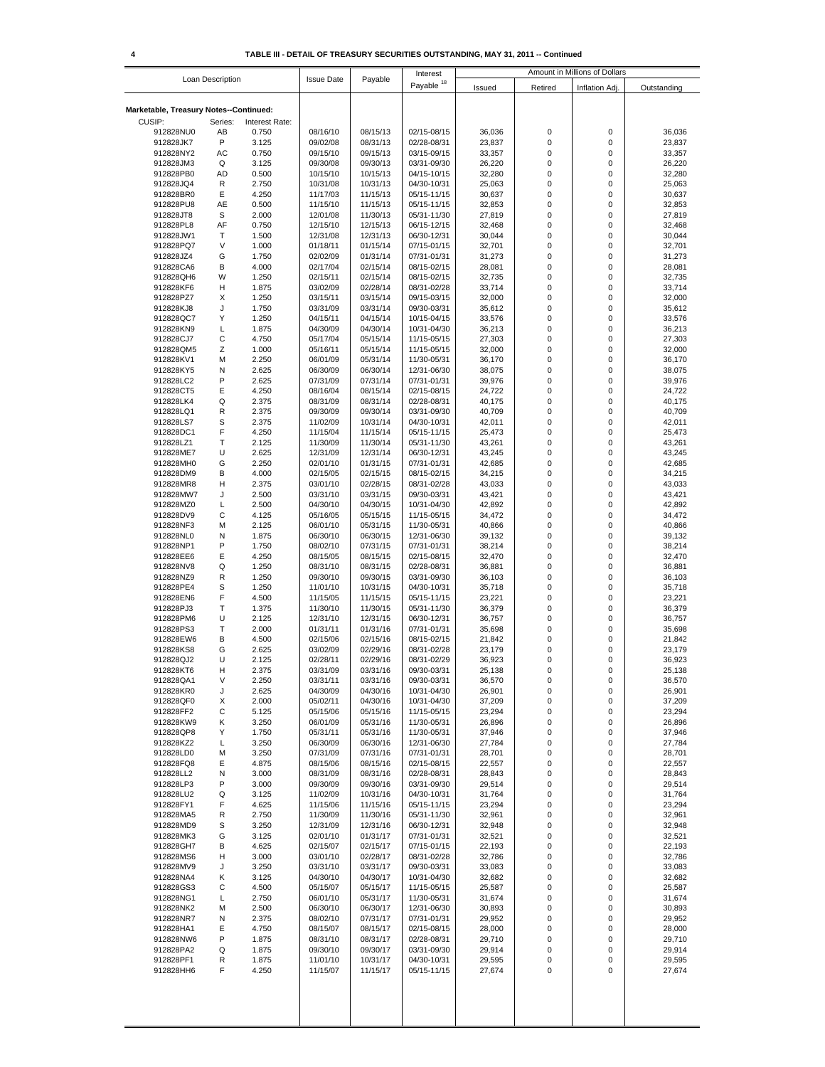|                                        |                  |                |                      |                      | Interest                   | Amount in Millions of Dollars |                            |                  |                  |
|----------------------------------------|------------------|----------------|----------------------|----------------------|----------------------------|-------------------------------|----------------------------|------------------|------------------|
|                                        | Loan Description |                | <b>Issue Date</b>    | Payable              | Payable <sup>18</sup>      | Issued                        | Retired                    | Inflation Adj.   | Outstanding      |
|                                        |                  |                |                      |                      |                            |                               |                            |                  |                  |
| Marketable, Treasury Notes--Continued: |                  |                |                      |                      |                            |                               |                            |                  |                  |
| CUSIP:                                 | Series:          | Interest Rate: |                      |                      |                            |                               |                            |                  |                  |
| 912828NU0                              | AB               | 0.750          | 08/16/10             | 08/15/13             | 02/15-08/15                | 36,036                        | $\mathbf 0$                | 0                | 36,036           |
| 912828JK7<br>912828NY2                 | P<br>AC          | 3.125<br>0.750 | 09/02/08<br>09/15/10 | 08/31/13<br>09/15/13 | 02/28-08/31<br>03/15-09/15 | 23,837<br>33,357              | $\mathbf 0$<br>0           | 0<br>0           | 23,837<br>33,357 |
| 912828JM3                              | Q                | 3.125          | 09/30/08             | 09/30/13             | 03/31-09/30                | 26,220                        | $\mathbf 0$                | 0                | 26,220           |
| 912828PB0                              | AD               | 0.500          | 10/15/10             | 10/15/13             | 04/15-10/15                | 32,280                        | $\mathbf 0$                | 0                | 32,280           |
| 912828JQ4                              | R                | 2.750          | 10/31/08             | 10/31/13             | 04/30-10/31                | 25,063                        | $\mathbf 0$                | 0                | 25,063           |
| 912828BR0                              | Ε                | 4.250          | 11/17/03             | 11/15/13             | 05/15-11/15                | 30,637                        | $\mathbf 0$                | 0                | 30,637           |
| 912828PU8                              | AE               | 0.500          | 11/15/10             | 11/15/13             | 05/15-11/15                | 32,853                        | $\mathbf 0$                | 0                | 32,853           |
| 912828JT8                              | S                | 2.000          | 12/01/08             | 11/30/13             | 05/31-11/30                | 27,819                        | $\mathbf 0$                | 0                | 27,819           |
| 912828PL8                              | AF               | 0.750          | 12/15/10             | 12/15/13             | 06/15-12/15                | 32,468                        | $\mathbf 0$                | 0                | 32,468           |
| 912828JW1                              | Т                | 1.500          | 12/31/08             | 12/31/13             | 06/30-12/31                | 30,044                        | $\mathbf 0$                | 0                | 30,044           |
| 912828PQ7                              | V                | 1.000          | 01/18/11             | 01/15/14             | 07/15-01/15                | 32,701                        | $\mathbf 0$                | 0                | 32,701           |
| 912828JZ4                              | G                | 1.750          | 02/02/09             | 01/31/14             | 07/31-01/31                | 31,273                        | $\mathbf 0$                | 0                | 31,273           |
| 912828CA6<br>912828QH6                 | в<br>W           | 4.000<br>1.250 | 02/17/04<br>02/15/11 | 02/15/14<br>02/15/14 | 08/15-02/15<br>08/15-02/15 | 28,081<br>32,735              | $\mathbf 0$<br>$\mathbf 0$ | $\mathsf 0$<br>0 | 28,081<br>32,735 |
| 912828KF6                              | н                | 1.875          | 03/02/09             | 02/28/14             | 08/31-02/28                | 33,714                        | $\mathbf 0$                | 0                | 33,714           |
| 912828PZ7                              | Х                | 1.250          | 03/15/11             | 03/15/14             | 09/15-03/15                | 32,000                        | $\mathbf 0$                | 0                | 32,000           |
| 912828KJ8                              | J                | 1.750          | 03/31/09             | 03/31/14             | 09/30-03/31                | 35,612                        | $\mathbf 0$                | 0                | 35,612           |
| 912828QC7                              | Υ                | 1.250          | 04/15/11             | 04/15/14             | 10/15-04/15                | 33,576                        | $\mathbf 0$                | 0                | 33,576           |
| 912828KN9                              | L                | 1.875          | 04/30/09             | 04/30/14             | 10/31-04/30                | 36,213                        | $\mathbf 0$                | 0                | 36,213           |
| 912828CJ7                              | C                | 4.750          | 05/17/04             | 05/15/14             | 11/15-05/15                | 27,303                        | $\mathbf 0$                | 0                | 27,303           |
| 912828QM5                              | Ζ                | 1.000          | 05/16/11             | 05/15/14             | 11/15-05/15                | 32,000                        | $\mathbf 0$                | 0                | 32,000           |
| 912828KV1                              | M                | 2.250          | 06/01/09             | 05/31/14             | 11/30-05/31                | 36,170                        | $\mathbf 0$                | 0                | 36,170           |
| 912828KY5                              | N                | 2.625          | 06/30/09             | 06/30/14             | 12/31-06/30                | 38,075                        | $\mathbf 0$                | 0                | 38,075           |
| 912828LC2                              | P                | 2.625          | 07/31/09             | 07/31/14             | 07/31-01/31                | 39,976                        | 0                          | 0                | 39,976           |
| 912828CT5                              | Ε                | 4.250          | 08/16/04             | 08/15/14             | 02/15-08/15                | 24,722                        | $\mathbf 0$                | 0                | 24,722           |
| 912828LK4                              | Q                | 2.375          | 08/31/09             | 08/31/14             | 02/28-08/31                | 40,175                        | $\mathbf 0$                | 0                | 40,175           |
| 912828LQ1                              | R                | 2.375          | 09/30/09             | 09/30/14             | 03/31-09/30                | 40,709                        | $\mathbf 0$                | 0                | 40,709           |
| 912828LS7<br>912828DC1                 | S<br>F           | 2.375<br>4.250 | 11/02/09             | 10/31/14<br>11/15/14 | 04/30-10/31                | 42,011                        | $\mathbf 0$<br>$\mathbf 0$ | 0<br>0           | 42,011           |
| 912828LZ1                              | $\mathsf{T}$     | 2.125          | 11/15/04<br>11/30/09 | 11/30/14             | 05/15-11/15<br>05/31-11/30 | 25,473<br>43,261              | $\mathbf 0$                | 0                | 25,473<br>43,261 |
| 912828ME7                              | U                | 2.625          | 12/31/09             | 12/31/14             | 06/30-12/31                | 43,245                        | $\mathbf 0$                | 0                | 43,245           |
| 912828MH0                              | G                | 2.250          | 02/01/10             | 01/31/15             | 07/31-01/31                | 42,685                        | $\mathbf 0$                | 0                | 42,685           |
| 912828DM9                              | в                | 4.000          | 02/15/05             | 02/15/15             | 08/15-02/15                | 34,215                        | $\mathbf 0$                | 0                | 34,215           |
| 912828MR8                              | н                | 2.375          | 03/01/10             | 02/28/15             | 08/31-02/28                | 43,033                        | $\mathbf 0$                | 0                | 43,033           |
| 912828MW7                              | J                | 2.500          | 03/31/10             | 03/31/15             | 09/30-03/31                | 43,421                        | $\mathbf 0$                | 0                | 43,421           |
| 912828MZ0                              | L                | 2.500          | 04/30/10             | 04/30/15             | 10/31-04/30                | 42,892                        | $\mathbf 0$                | 0                | 42,892           |
| 912828DV9                              | C                | 4.125          | 05/16/05             | 05/15/15             | 11/15-05/15                | 34,472                        | $\mathbf 0$                | 0                | 34,472           |
| 912828NF3                              | M                | 2.125          | 06/01/10             | 05/31/15             | 11/30-05/31                | 40,866                        | $\mathbf 0$                | $\mathsf 0$      | 40,866           |
| 912828NL0                              | Ν                | 1.875          | 06/30/10             | 06/30/15             | 12/31-06/30                | 39,132                        | $\mathbf 0$                | 0                | 39,132           |
| 912828NP1                              | P                | 1.750          | 08/02/10             | 07/31/15             | 07/31-01/31                | 38,214                        | $\mathbf 0$                | 0                | 38,214           |
| 912828EE6                              | Ε                | 4.250          | 08/15/05             | 08/15/15             | 02/15-08/15                | 32,470                        | $\mathbf 0$                | 0                | 32,470           |
| 912828NV8                              | Q                | 1.250          | 08/31/10             | 08/31/15             | 02/28-08/31                | 36,881                        | $\mathbf 0$                | 0                | 36,881           |
| 912828NZ9                              | R                | 1.250          | 09/30/10             | 09/30/15             | 03/31-09/30                | 36,103                        | $\mathbf 0$                | 0                | 36,103           |
| 912828PE4                              | S<br>F           | 1.250          | 11/01/10             | 10/31/15             | 04/30-10/31                | 35,718                        | $\mathbf 0$<br>$\mathbf 0$ | 0<br>0           | 35,718           |
| 912828EN6<br>912828PJ3                 | Т                | 4.500<br>1.375 | 11/15/05<br>11/30/10 | 11/15/15<br>11/30/15 | 05/15-11/15<br>05/31-11/30 | 23,221<br>36,379              | $\mathbf 0$                | 0                | 23,221<br>36,379 |
| 912828PM6                              | U                | 2.125          | 12/31/10             | 12/31/15             | 06/30-12/31                | 36,757                        | $\mathbf 0$                | 0                | 36,757           |
| 912828PS3                              | Т                | 2.000          | 01/31/11             | 01/31/16             | 07/31-01/31                | 35,698                        | $\mathbf 0$                | 0                | 35,698           |
| 912828EW6                              | в                | 4.500          | 02/15/06             | 02/15/16             | 08/15-02/15                | 21,842                        | 0                          | 0                | 21,842           |
| 912828KS8                              | G                | 2.625          | 03/02/09             | 02/29/16             | 08/31-02/28                | 23,179                        | $\mathbf 0$                | 0                | 23,179           |
| 912828QJ2                              | U                | 2.125          | 02/28/11             | 02/29/16             | 08/31-02/29                | 36,923                        | $\mathbf 0$                | 0                | 36,923           |
| 912828KT6                              | н                | 2.375          | 03/31/09             | 03/31/16             | 09/30-03/31                | 25,138                        | 0                          | 0                | 25,138           |
| 912828QA1                              | V                | 2.250          | 03/31/11             | 03/31/16             | 09/30-03/31                | 36,570                        | 0                          | 0                | 36,570           |
| 912828KR0                              | J                | 2.625          | 04/30/09             | 04/30/16             | 10/31-04/30                | 26,901                        | 0                          | 0                | 26,901           |
| 912828QF0                              | Х                | 2.000          | 05/02/11             | 04/30/16             | 10/31-04/30                | 37,209                        | 0                          | 0                | 37,209           |
| 912828FF2                              | С                | 5.125          | 05/15/06             | 05/15/16             | 11/15-05/15                | 23,294                        | 0<br>0                     | 0<br>0           | 23,294           |
| 912828KW9<br>912828QP8                 | Κ<br>Υ           | 3.250<br>1.750 | 06/01/09<br>05/31/11 | 05/31/16<br>05/31/16 | 11/30-05/31<br>11/30-05/31 | 26,896<br>37,946              | 0                          | 0                | 26,896<br>37,946 |
| 912828KZ2                              | L                | 3.250          | 06/30/09             | 06/30/16             | 12/31-06/30                | 27,784                        | 0                          | 0                | 27,784           |
| 912828LD0                              | М                | 3.250          | 07/31/09             | 07/31/16             | 07/31-01/31                | 28,701                        | 0                          | 0                | 28,701           |
| 912828FQ8                              | Ε                | 4.875          | 08/15/06             | 08/15/16             | 02/15-08/15                | 22,557                        | 0                          | 0                | 22,557           |
| 912828LL2                              | N                | 3.000          | 08/31/09             | 08/31/16             | 02/28-08/31                | 28,843                        | 0                          | 0                | 28,843           |
| 912828LP3                              | P                | 3.000          | 09/30/09             | 09/30/16             | 03/31-09/30                | 29,514                        | 0                          | 0                | 29,514           |
| 912828LU2                              | Q                | 3.125          | 11/02/09             | 10/31/16             | 04/30-10/31                | 31,764                        | 0                          | 0                | 31,764           |
| 912828FY1                              | F                | 4.625          | 11/15/06             | 11/15/16             | 05/15-11/15                | 23,294                        | 0                          | 0                | 23,294           |
| 912828MA5                              | R                | 2.750          | 11/30/09             | 11/30/16             | 05/31-11/30                | 32,961                        | 0                          | 0                | 32,961           |
| 912828MD9                              | S                | 3.250          | 12/31/09             | 12/31/16             | 06/30-12/31                | 32,948                        | 0                          | 0                | 32,948           |
| 912828MK3                              | G                | 3.125          | 02/01/10             | 01/31/17             | 07/31-01/31                | 32,521                        | 0                          | 0                | 32,521           |
| 912828GH7                              | В                | 4.625          | 02/15/07             | 02/15/17             | 07/15-01/15                | 22,193                        | 0                          | 0                | 22,193           |
| 912828MS6                              | н                | 3.000          | 03/01/10             | 02/28/17             | 08/31-02/28                | 32,786                        | 0                          | 0                | 32,786           |
| 912828MV9<br>912828NA4                 | J<br>Κ           | 3.250<br>3.125 | 03/31/10<br>04/30/10 | 03/31/17<br>04/30/17 | 09/30-03/31<br>10/31-04/30 | 33,083<br>32,682              | 0<br>0                     | 0<br>0           | 33,083<br>32,682 |
| 912828GS3                              | С                | 4.500          | 05/15/07             | 05/15/17             | 11/15-05/15                | 25,587                        | 0                          | 0                | 25,587           |
| 912828NG1                              | L                | 2.750          | 06/01/10             | 05/31/17             | 11/30-05/31                | 31,674                        | 0                          | 0                | 31,674           |
| 912828NK2                              | М                | 2.500          | 06/30/10             | 06/30/17             | 12/31-06/30                | 30,893                        | 0                          | 0                | 30,893           |
| 912828NR7                              | N                | 2.375          | 08/02/10             | 07/31/17             | 07/31-01/31                | 29,952                        | 0                          | 0                | 29,952           |
| 912828HA1                              | Ε                | 4.750          | 08/15/07             | 08/15/17             | 02/15-08/15                | 28,000                        | 0                          | 0                | 28,000           |
| 912828NW6                              | P                | 1.875          | 08/31/10             | 08/31/17             | 02/28-08/31                | 29,710                        | 0                          | 0                | 29,710           |
| 912828PA2                              | Q                | 1.875          | 09/30/10             | 09/30/17             | 03/31-09/30                | 29,914                        | 0                          | 0                | 29,914           |
| 912828PF1                              | R                | 1.875          | 11/01/10             | 10/31/17             | 04/30-10/31                | 29,595                        | 0                          | 0                | 29,595           |
| 912828HH6                              | F                | 4.250          | 11/15/07             | 11/15/17             | 05/15-11/15                | 27,674                        | 0                          | 0                | 27,674           |
|                                        |                  |                |                      |                      |                            |                               |                            |                  |                  |
|                                        |                  |                |                      |                      |                            |                               |                            |                  |                  |
|                                        |                  |                |                      |                      |                            |                               |                            |                  |                  |
|                                        |                  |                |                      |                      |                            |                               |                            |                  |                  |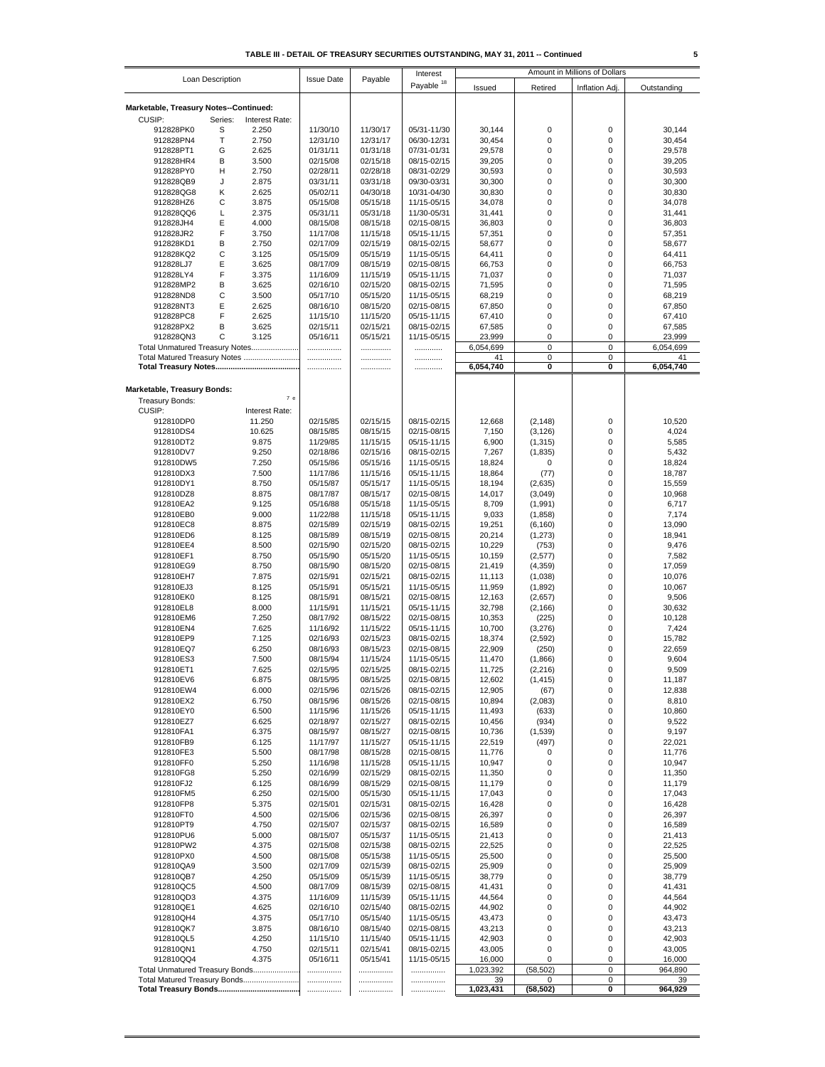|                                        |                                |                   |          | Interest              | Amount in Millions of Dollars |           |                |             |
|----------------------------------------|--------------------------------|-------------------|----------|-----------------------|-------------------------------|-----------|----------------|-------------|
| Loan Description                       |                                | <b>Issue Date</b> | Payable  | Payable <sup>18</sup> | Issued                        | Retired   | Inflation Adj. | Outstanding |
|                                        |                                |                   |          |                       |                               |           |                |             |
| Marketable, Treasury Notes--Continued: |                                |                   |          |                       |                               |           |                |             |
| CUSIP:                                 |                                |                   |          |                       |                               |           |                |             |
|                                        | Series:<br>Interest Rate:<br>S |                   | 11/30/17 | 05/31-11/30           |                               | 0         | 0              | 30,144      |
| 912828PK0<br>912828PN4                 | 2.250                          | 11/30/10          |          |                       | 30,144                        |           |                |             |
|                                        | Т<br>2.750                     | 12/31/10          | 12/31/17 | 06/30-12/31           | 30,454                        | 0         | 0              | 30,454      |
| 912828PT1                              | G<br>2.625                     | 01/31/11          | 01/31/18 | 07/31-01/31           | 29,578                        | 0         | 0              | 29,578      |
| 912828HR4                              | B<br>3.500                     | 02/15/08          | 02/15/18 | 08/15-02/15           | 39,205                        | 0         | 0              | 39,205      |
| 912828PY0                              | н<br>2.750                     | 02/28/11          | 02/28/18 | 08/31-02/29           | 30,593                        | 0         | 0              | 30,593      |
| 912828QB9                              | 2.875<br>J                     | 03/31/11          | 03/31/18 | 09/30-03/31           | 30,300                        | 0         | 0              | 30,300      |
| 912828QG8                              | Κ<br>2.625                     | 05/02/11          | 04/30/18 | 10/31-04/30           | 30,830                        | 0         | 0              | 30,830      |
| 912828HZ6                              | С<br>3.875                     | 05/15/08          | 05/15/18 | 11/15-05/15           | 34,078                        | 0         | 0              | 34,078      |
| 912828QQ6                              | L<br>2.375                     | 05/31/11          | 05/31/18 | 11/30-05/31           | 31,441                        | 0         | 0              | 31,441      |
| 912828JH4                              | Ε<br>4.000                     | 08/15/08          | 08/15/18 | 02/15-08/15           | 36,803                        | 0         | 0              | 36,803      |
| 912828JR2                              | F<br>3.750                     | 11/17/08          | 11/15/18 | 05/15-11/15           | 57,351                        | 0         | 0              | 57,351      |
| 912828KD1                              | B<br>2.750                     | 02/17/09          | 02/15/19 | 08/15-02/15           | 58,677                        | 0         | 0              | 58,677      |
| 912828KQ2                              | С<br>3.125                     | 05/15/09          | 05/15/19 | 11/15-05/15           | 64,411                        | 0         | 0              | 64,411      |
| 912828LJ7                              | Ε<br>3.625                     | 08/17/09          | 08/15/19 | 02/15-08/15           | 66,753                        | 0         | 0              |             |
|                                        | F                              |                   |          |                       |                               |           | 0              | 66,753      |
| 912828LY4                              | 3.375                          | 11/16/09          | 11/15/19 | 05/15-11/15           | 71,037                        | 0         |                | 71,037      |
| 912828MP2                              | в<br>3.625                     | 02/16/10          | 02/15/20 | 08/15-02/15           | 71,595                        | 0         | 0              | 71,595      |
| 912828ND8                              | C<br>3.500                     | 05/17/10          | 05/15/20 | 11/15-05/15           | 68,219                        | 0         | 0              | 68,219      |
| 912828NT3                              | Е<br>2.625                     | 08/16/10          | 08/15/20 | 02/15-08/15           | 67,850                        | 0         | 0              | 67,850      |
| 912828PC8                              | F<br>2.625                     | 11/15/10          | 11/15/20 | 05/15-11/15           | 67,410                        | 0         | 0              | 67,410      |
| 912828PX2                              | В<br>3.625                     | 02/15/11          | 02/15/21 | 08/15-02/15           | 67,585                        | 0         | 0              | 67,585      |
| 912828QN3                              | С<br>3.125                     | 05/16/11          | 05/15/21 | 11/15-05/15           | 23,999                        | 0         | 0              | 23,999      |
| Total Unmatured Treasury Notes         |                                |                   | .        |                       | 6,054,699                     | 0         | 0              | 6,054,699   |
| Total Matured Treasury Notes           |                                |                   | .        | .                     | 41                            | 0         | 0              | 41          |
|                                        |                                | .                 |          | .                     | 6,054,740                     | 0         | 0              | 6,054,740   |
|                                        |                                |                   |          |                       |                               |           |                |             |
| Marketable, Treasury Bonds:            |                                |                   |          |                       |                               |           |                |             |
|                                        | 7е                             |                   |          |                       |                               |           |                |             |
| Treasury Bonds:                        |                                |                   |          |                       |                               |           |                |             |
| CUSIP:                                 | Interest Rate:                 |                   |          |                       |                               |           |                |             |
| 912810DP0                              | 11.250                         | 02/15/85          | 02/15/15 | 08/15-02/15           | 12,668                        | (2, 148)  | 0              | 10,520      |
| 912810DS4                              | 10.625                         | 08/15/85          | 08/15/15 | 02/15-08/15           | 7,150                         | (3, 126)  | 0              | 4,024       |
| 912810DT2                              | 9.875                          | 11/29/85          | 11/15/15 | 05/15-11/15           | 6,900                         | (1, 315)  | 0              | 5,585       |
| 912810DV7                              | 9.250                          | 02/18/86          | 02/15/16 | 08/15-02/15           | 7,267                         | (1, 835)  | 0              | 5,432       |
| 912810DW5                              | 7.250                          | 05/15/86          | 05/15/16 | 11/15-05/15           | 18,824                        | 0         | 0              | 18,824      |
| 912810DX3                              | 7.500                          | 11/17/86          | 11/15/16 | 05/15-11/15           | 18,864                        | (77)      | 0              | 18,787      |
| 912810DY1                              | 8.750                          | 05/15/87          | 05/15/17 | 11/15-05/15           | 18,194                        | (2,635)   | 0              | 15,559      |
| 912810DZ8                              | 8.875                          | 08/17/87          | 08/15/17 | 02/15-08/15           | 14,017                        | (3,049)   | 0              | 10,968      |
| 912810EA2                              | 9.125                          | 05/16/88          | 05/15/18 | 11/15-05/15           | 8,709                         | (1, 991)  | 0              | 6,717       |
| 912810EB0                              | 9.000                          | 11/22/88          | 11/15/18 | 05/15-11/15           | 9,033                         | (1, 858)  | 0              | 7,174       |
|                                        |                                | 02/15/89          | 02/15/19 |                       |                               |           | 0              |             |
| 912810EC8                              | 8.875                          |                   |          | 08/15-02/15           | 19,251                        | (6, 160)  |                | 13,090      |
| 912810ED6                              | 8.125                          | 08/15/89          | 08/15/19 | 02/15-08/15           | 20,214                        | (1, 273)  | 0              | 18,941      |
| 912810EE4                              | 8.500                          | 02/15/90          | 02/15/20 | 08/15-02/15           | 10,229                        | (753)     | 0              | 9,476       |
| 912810EF1                              | 8.750                          | 05/15/90          | 05/15/20 | 11/15-05/15           | 10,159                        | (2,577)   | 0              | 7,582       |
| 912810EG9                              | 8.750                          | 08/15/90          | 08/15/20 | 02/15-08/15           | 21,419                        | (4, 359)  | 0              | 17,059      |
| 912810EH7                              | 7.875                          | 02/15/91          | 02/15/21 | 08/15-02/15           | 11,113                        | (1,038)   | 0              | 10,076      |
| 912810EJ3                              | 8.125                          | 05/15/91          | 05/15/21 | 11/15-05/15           | 11,959                        | (1,892)   | 0              | 10,067      |
| 912810EK0                              | 8.125                          | 08/15/91          | 08/15/21 | 02/15-08/15           | 12,163                        | (2,657)   | 0              | 9,506       |
| 912810EL8                              | 8.000                          | 11/15/91          | 11/15/21 | 05/15-11/15           | 32,798                        | (2, 166)  | 0              | 30,632      |
| 912810EM6                              | 7.250                          | 08/17/92          | 08/15/22 | 02/15-08/15           | 10,353                        | (225)     | 0              | 10,128      |
| 912810EN4                              | 7.625                          | 11/16/92          | 11/15/22 | 05/15-11/15           | 10,700                        | (3,276)   | 0              | 7,424       |
| 912810EP9                              | 7.125                          | 02/16/93          | 02/15/23 | 08/15-02/15           | 18,374                        | (2, 592)  | 0              | 15,782      |
| 912810EQ7                              | 6.250                          | 08/16/93          | 08/15/23 | 02/15-08/15           | 22,909                        | (250)     | 0              | 22,659      |
| 912810ES3                              | 7.500                          | 08/15/94          | 11/15/24 | 11/15-05/15           | 11,470                        | (1,866)   | 0              | 9,604       |
| 912810ET1                              | 7.625                          | 02/15/95          | 02/15/25 | 08/15-02/15           | 11,725                        | (2, 216)  | 0              | 9,509       |
|                                        |                                |                   |          |                       |                               |           |                |             |
| 912810EV6                              | 6.875                          | 08/15/95          | 08/15/25 | 02/15-08/15           | 12,602                        | (1, 415)  | 0              | 11,187      |
| 912810EW4                              | 6.000                          | 02/15/96          | 02/15/26 | 08/15-02/15           | 12,905                        | (67)      | 0              | 12,838      |
| 912810EX2                              | 6.750                          | 08/15/96          | 08/15/26 | 02/15-08/15           | 10,894                        | (2,083)   | 0              | 8,810       |
| 912810EY0                              | 6.500                          | 11/15/96          | 11/15/26 | 05/15-11/15           | 11,493                        | (633)     | 0              | 10,860      |
| 912810EZ7                              | 6.625                          | 02/18/97          | 02/15/27 | 08/15-02/15           | 10,456                        | (934)     | 0              | 9,522       |
| 912810FA1                              | 6.375                          | 08/15/97          | 08/15/27 | 02/15-08/15           | 10,736                        | (1,539)   | 0              | 9,197       |
| 912810FB9                              | 6.125                          | 11/17/97          | 11/15/27 | 05/15-11/15           | 22,519                        | (497)     | 0              | 22,021      |
| 912810FE3                              | 5.500                          | 08/17/98          | 08/15/28 | 02/15-08/15           | 11,776                        | 0         | 0              | 11,776      |
| 912810FF0                              | 5.250                          | 11/16/98          | 11/15/28 | 05/15-11/15           | 10,947                        | 0         | 0              | 10,947      |
| 912810FG8                              | 5.250                          | 02/16/99          | 02/15/29 | 08/15-02/15           | 11,350                        | 0         | 0              | 11,350      |
| 912810FJ2                              | 6.125                          | 08/16/99          | 08/15/29 | 02/15-08/15           | 11,179                        | 0         | 0              | 11,179      |
| 912810FM5                              | 6.250                          | 02/15/00          | 05/15/30 | 05/15-11/15           | 17,043                        | 0         | 0              | 17,043      |
| 912810FP8                              | 5.375                          | 02/15/01          | 02/15/31 | 08/15-02/15           | 16,428                        | 0         | 0              | 16,428      |
| 912810FT0                              | 4.500                          | 02/15/06          | 02/15/36 | 02/15-08/15           | 26,397                        | 0         | 0              | 26,397      |
| 912810PT9                              | 4.750                          | 02/15/07          | 02/15/37 | 08/15-02/15           | 16,589                        | 0         | 0              | 16,589      |
| 912810PU6                              | 5.000                          | 08/15/07          | 05/15/37 | 11/15-05/15           | 21,413                        | 0         | 0              | 21,413      |
| 912810PW2                              | 4.375                          | 02/15/08          | 02/15/38 | 08/15-02/15           | 22,525                        | 0         | 0              | 22,525      |
|                                        | 4.500                          | 08/15/08          | 05/15/38 | 11/15-05/15           | 25,500                        | 0         | 0              | 25,500      |
| 912810PX0                              |                                |                   |          |                       |                               |           |                |             |
| 912810QA9                              | 3.500                          | 02/17/09          | 02/15/39 | 08/15-02/15           | 25,909                        | 0         | 0              | 25,909      |
| 912810QB7                              | 4.250                          | 05/15/09          | 05/15/39 | 11/15-05/15           | 38,779                        | 0         | 0              | 38,779      |
| 912810QC5                              | 4.500                          | 08/17/09          | 08/15/39 | 02/15-08/15           | 41,431                        | 0         | 0              | 41,431      |
| 912810QD3                              | 4.375                          | 11/16/09          | 11/15/39 | 05/15-11/15           | 44,564                        | 0         | 0              | 44,564      |
| 912810QE1                              | 4.625                          | 02/16/10          | 02/15/40 | 08/15-02/15           | 44,902                        | 0         | 0              | 44,902      |
| 912810QH4                              | 4.375                          | 05/17/10          | 05/15/40 | 11/15-05/15           | 43,473                        | 0         | 0              | 43,473      |
| 912810QK7                              | 3.875                          | 08/16/10          | 08/15/40 | 02/15-08/15           | 43,213                        | 0         | 0              | 43,213      |
| 912810QL5                              | 4.250                          | 11/15/10          | 11/15/40 | 05/15-11/15           | 42,903                        | 0         | 0              | 42,903      |
| 912810QN1                              | 4.750                          | 02/15/11          | 02/15/41 | 08/15-02/15           | 43,005                        | 0         | 0              | 43,005      |
| 912810QQ4                              | 4.375                          | 05/16/11          | 05/15/41 | 11/15-05/15           | 16,000                        | 0         | 0              | 16,000      |
| Total Unmatured Treasury Bonds         |                                |                   | .        |                       | 1,023,392                     | (58, 502) | 0              | 964,890     |
| Total Matured Treasury Bonds           |                                |                   |          |                       | 39                            | 0         | 0              | 39          |
|                                        |                                |                   | <br>     |                       | 1,023,431                     | (58, 502) | 0              | 964,929     |
|                                        |                                |                   |          |                       |                               |           |                |             |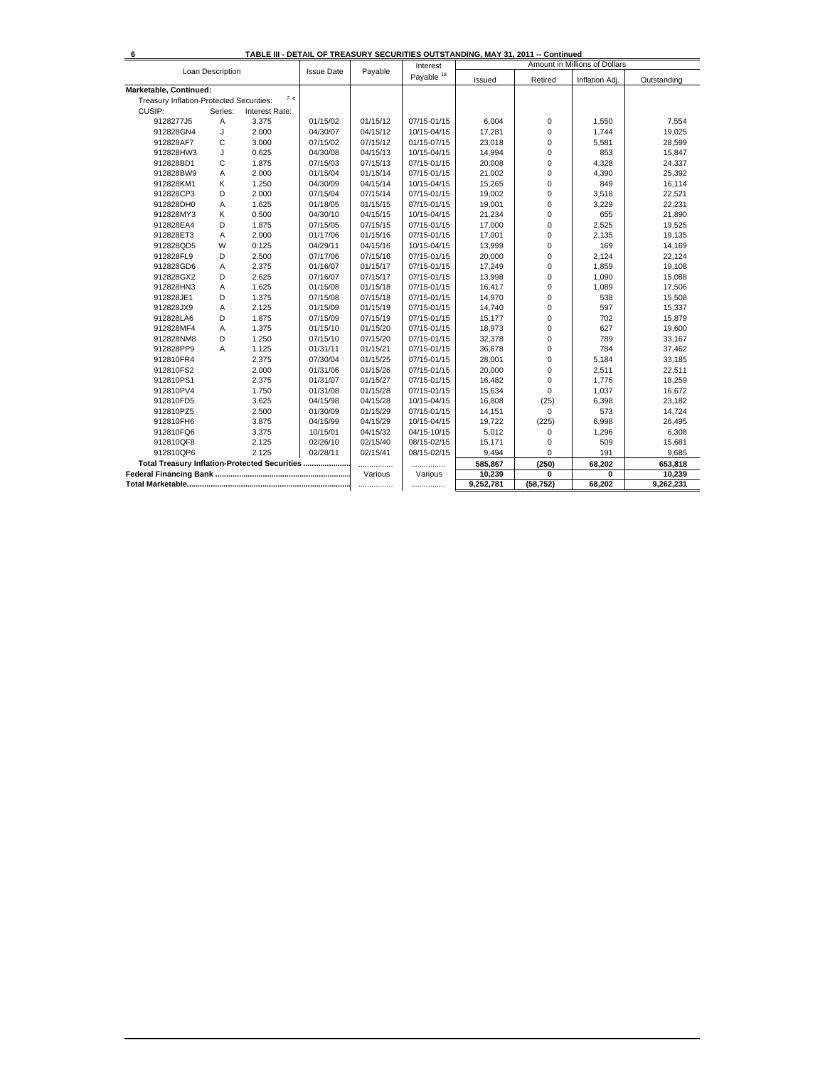|                                               |                  |                |                   |          | Interest     | INDLE III - DETAIL OF TREASURT SECURITIES OUTSTANDING, MAT 31, 2011 -- CONINIQUE |             | Amount in Millions of Dollars |             |
|-----------------------------------------------|------------------|----------------|-------------------|----------|--------------|----------------------------------------------------------------------------------|-------------|-------------------------------|-------------|
|                                               | Loan Description |                | <b>Issue Date</b> | Payable  | Payable $18$ | Issued                                                                           | Retired     | Inflation Adj.                | Outstanding |
| Marketable, Continued:                        |                  |                |                   |          |              |                                                                                  |             |                               |             |
| Treasury Inflation-Protected Securities:      |                  | 7e             |                   |          |              |                                                                                  |             |                               |             |
| CUSIP:                                        | Series:          | Interest Rate: |                   |          |              |                                                                                  |             |                               |             |
| 9128277J5                                     | Α                | 3.375          | 01/15/02          | 01/15/12 | 07/15-01/15  | 6,004                                                                            | $\mathbf 0$ | 1,550                         | 7,554       |
| 912828GN4                                     | J                | 2.000          | 04/30/07          | 04/15/12 | 10/15-04/15  | 17,281                                                                           | $\mathbf 0$ | 1,744                         | 19,025      |
| 912828AF7                                     | C                | 3.000          | 07/15/02          | 07/15/12 | 01/15-07/15  | 23,018                                                                           | 0           | 5,581                         | 28,599      |
| 912828HW3                                     | J                | 0.625          | 04/30/08          | 04/15/13 | 10/15-04/15  | 14,994                                                                           | 0           | 853                           | 15,847      |
| 912828BD1                                     | С                | 1.875          | 07/15/03          | 07/15/13 | 07/15-01/15  | 20,008                                                                           | 0           | 4,328                         | 24,337      |
| 912828BW9                                     | Α                | 2.000          | 01/15/04          | 01/15/14 | 07/15-01/15  | 21,002                                                                           | 0           | 4,390                         | 25,392      |
| 912828KM1                                     | Κ                | 1.250          | 04/30/09          | 04/15/14 | 10/15-04/15  | 15,265                                                                           | 0           | 849                           | 16,114      |
| 912828CP3                                     | D                | 2.000          | 07/15/04          | 07/15/14 | 07/15-01/15  | 19,002                                                                           | 0           | 3,518                         | 22,521      |
| 912828DH0                                     | A                | 1.625          | 01/18/05          | 01/15/15 | 07/15-01/15  | 19,001                                                                           | 0           | 3,229                         | 22,231      |
| 912828MY3                                     | Κ                | 0.500          | 04/30/10          | 04/15/15 | 10/15-04/15  | 21,234                                                                           | $\Omega$    | 655                           | 21,890      |
| 912828EA4                                     | D                | 1.875          | 07/15/05          | 07/15/15 | 07/15-01/15  | 17,000                                                                           | $\mathbf 0$ | 2,525                         | 19,525      |
| 912828ET3                                     | A                | 2.000          | 01/17/06          | 01/15/16 | 07/15-01/15  | 17,001                                                                           | 0           | 2,135                         | 19,135      |
| 912828QD5                                     | W                | 0.125          | 04/29/11          | 04/15/16 | 10/15-04/15  | 13,999                                                                           | 0           | 169                           | 14,169      |
| 912828FL9                                     | D                | 2.500          | 07/17/06          | 07/15/16 | 07/15-01/15  | 20,000                                                                           | 0           | 2,124                         | 22,124      |
| 912828GD6                                     | Α                | 2.375          | 01/16/07          | 01/15/17 | 07/15-01/15  | 17,249                                                                           | 0           | 1,859                         | 19,108      |
| 912828GX2                                     | D                | 2.625          | 07/16/07          | 07/15/17 | 07/15-01/15  | 13,998                                                                           | 0           | 1,090                         | 15,088      |
| 912828HN3                                     | A                | 1.625          | 01/15/08          | 01/15/18 | 07/15-01/15  | 16,417                                                                           | 0           | 1,089                         | 17,506      |
| 912828JE1                                     | D                | 1.375          | 07/15/08          | 07/15/18 | 07/15-01/15  | 14,970                                                                           | $\Omega$    | 538                           | 15,508      |
| 912828JX9                                     | A                | 2.125          | 01/15/09          | 01/15/19 | 07/15-01/15  | 14,740                                                                           | 0           | 597                           | 15,337      |
| 912828LA6                                     | D                | 1.875          | 07/15/09          | 07/15/19 | 07/15-01/15  | 15,177                                                                           | $\mathbf 0$ | 702                           | 15,879      |
| 912828MF4                                     | Α                | 1.375          | 01/15/10          | 01/15/20 | 07/15-01/15  | 18,973                                                                           | 0           | 627                           | 19,600      |
| 912828NM8                                     | D                | 1.250          | 07/15/10          | 07/15/20 | 07/15-01/15  | 32,378                                                                           | $\Omega$    | 789                           | 33,167      |
| 912828PP9                                     | A                | 1.125          | 01/31/11          | 01/15/21 | 07/15-01/15  | 36,678                                                                           | $\Omega$    | 784                           | 37,462      |
| 912810FR4                                     |                  | 2.375          | 07/30/04          | 01/15/25 | 07/15-01/15  | 28,001                                                                           | $\mathbf 0$ | 5,184                         | 33,185      |
| 912810FS2                                     |                  | 2.000          | 01/31/06          | 01/15/26 | 07/15-01/15  | 20,000                                                                           | 0           | 2,511                         | 22,511      |
| 912810PS1                                     |                  | 2.375          | 01/31/07          | 01/15/27 | 07/15-01/15  | 16,482                                                                           | 0           | 1,776                         | 18,259      |
| 912810PV4                                     |                  | 1.750          | 01/31/08          | 01/15/28 | 07/15-01/15  | 15,634                                                                           | $\mathbf 0$ | 1,037                         | 16,672      |
| 912810FD5                                     |                  | 3.625          | 04/15/98          | 04/15/28 | 10/15-04/15  | 16,808                                                                           | (25)        | 6,398                         | 23,182      |
| 912810PZ5                                     |                  | 2.500          | 01/30/09          | 01/15/29 | 07/15-01/15  | 14,151                                                                           | 0           | 573                           | 14,724      |
| 912810FH6                                     |                  | 3.875          | 04/15/99          | 04/15/29 | 10/15-04/15  | 19,722                                                                           | (225)       | 6,998                         | 26,495      |
| 912810FQ6                                     |                  | 3.375          | 10/15/01          | 04/15/32 | 04/15-10/15  | 5,012                                                                            | $\Omega$    | 1,296                         | 6,308       |
| 912810QF8                                     |                  | 2.125          | 02/26/10          | 02/15/40 | 08/15-02/15  | 15,171                                                                           | 0           | 509                           | 15,681      |
| 912810QP6                                     |                  | 2.125          | 02/28/11          | 02/15/41 | 08/15-02/15  | 9,494                                                                            | 0           | 191                           | 9,685       |
| Total Treasury Inflation-Protected Securities |                  |                |                   | .        |              | 585,867                                                                          | (250)       | 68,202                        | 653,818     |
|                                               |                  |                |                   | Various  | Various      | 10,239                                                                           | 0           | 0                             | 10,239      |
|                                               |                  |                |                   | .        |              | 9,252,781                                                                        | (58, 752)   | 68.202                        | 9,262,231   |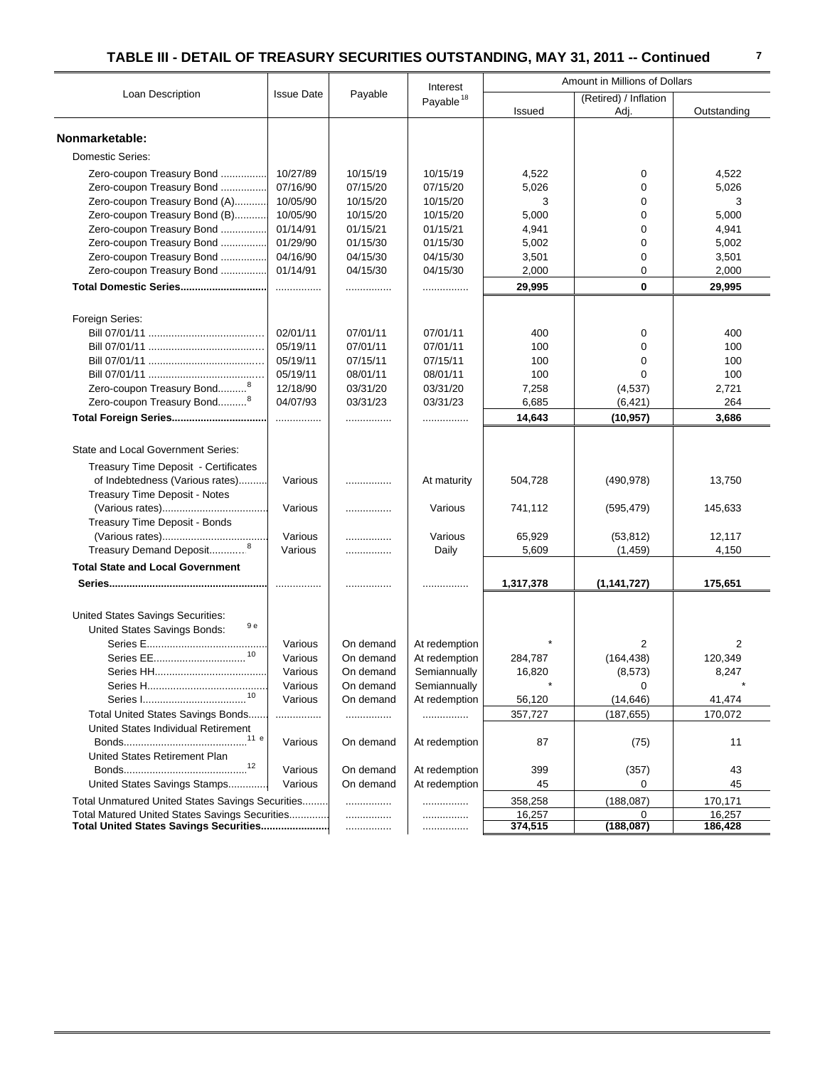|                                                  |                   |           | Interest              | Amount in Millions of Dollars |                               |             |
|--------------------------------------------------|-------------------|-----------|-----------------------|-------------------------------|-------------------------------|-------------|
| Loan Description                                 | <b>Issue Date</b> | Payable   | Payable <sup>18</sup> | Issued                        | (Retired) / Inflation<br>Adj. | Outstanding |
| Nonmarketable:                                   |                   |           |                       |                               |                               |             |
| <b>Domestic Series:</b>                          |                   |           |                       |                               |                               |             |
| Zero-coupon Treasury Bond                        | 10/27/89          | 10/15/19  | 10/15/19              | 4,522                         | 0                             | 4,522       |
| Zero-coupon Treasury Bond                        | 07/16/90          | 07/15/20  | 07/15/20              | 5,026                         | 0                             | 5,026       |
| Zero-coupon Treasury Bond (A)                    | 10/05/90          | 10/15/20  | 10/15/20              | 3                             | 0                             | 3           |
| Zero-coupon Treasury Bond (B)                    | 10/05/90          | 10/15/20  | 10/15/20              | 5,000                         | $\Omega$                      | 5,000       |
| Zero-coupon Treasury Bond                        | 01/14/91          | 01/15/21  | 01/15/21              | 4,941                         | 0                             | 4,941       |
| Zero-coupon Treasury Bond                        | 01/29/90          | 01/15/30  | 01/15/30              | 5,002                         | 0                             | 5,002       |
| Zero-coupon Treasury Bond                        | 04/16/90          | 04/15/30  | 04/15/30              | 3,501                         | 0                             | 3,501       |
| Zero-coupon Treasury Bond                        | 01/14/91          | 04/15/30  | 04/15/30              | 2,000                         | 0                             | 2,000       |
| Total Domestic Series                            | .                 | .         |                       | 29,995                        | $\mathbf{0}$                  | 29,995      |
| Foreign Series:                                  |                   |           |                       |                               |                               |             |
|                                                  | 02/01/11          | 07/01/11  | 07/01/11              | 400                           | 0                             | 400         |
|                                                  | 05/19/11          | 07/01/11  | 07/01/11              | 100                           | $\mathbf 0$                   | 100         |
|                                                  | 05/19/11          | 07/15/11  | 07/15/11              | 100                           | $\Omega$                      | 100         |
|                                                  | 05/19/11          | 08/01/11  | 08/01/11              | 100                           | 0                             | 100         |
| Zero-coupon Treasury Bond <sup>8</sup>           | 12/18/90          | 03/31/20  | 03/31/20              | 7,258                         | (4,537)                       | 2,721       |
| Zero-coupon Treasury Bond <sup>8</sup>           | 04/07/93          | 03/31/23  | 03/31/23              | 6,685                         | (6, 421)                      | 264         |
|                                                  | .                 | .         | .                     | 14,643                        | (10, 957)                     | 3,686       |
| State and Local Government Series:               |                   |           |                       |                               |                               |             |
| Treasury Time Deposit - Certificates             |                   |           |                       |                               |                               |             |
| of Indebtedness (Various rates)                  | Various           | .         | At maturity           | 504,728                       | (490, 978)                    | 13,750      |
| Treasury Time Deposit - Notes                    |                   |           |                       |                               |                               |             |
|                                                  | Various           | .         | Various               | 741,112                       | (595, 479)                    | 145,633     |
| Treasury Time Deposit - Bonds                    |                   |           |                       |                               |                               |             |
|                                                  | Various           | .         | Various               | 65,929                        | (53, 812)                     | 12,117      |
| Treasury Demand Deposit <sup>8</sup>             | Various           |           | Daily                 | 5,609                         | (1, 459)                      | 4,150       |
| <b>Total State and Local Government</b>          |                   |           |                       |                               |                               |             |
|                                                  |                   | .         |                       | 1,317,378                     | (1, 141, 727)                 | 175,651     |
| United States Savings Securities:                |                   |           |                       |                               |                               |             |
| 9 e<br>United States Savings Bonds:              |                   |           |                       |                               |                               |             |
|                                                  | Various           | On demand | At redemption         |                               | 2                             | 2           |
|                                                  | Various           | On demand | At redemption         | 284,787                       | (164, 438)                    | 120,349     |
|                                                  | Various           | On demand | Semiannually          | 16,820                        | (8, 573)                      | 8,247       |
|                                                  | Various           | On demand | Semiannually          | $\star$                       | 0                             |             |
|                                                  | Various           | On demand | At redemption         | 56,120                        | (14, 646)                     | 41,474      |
| Total United States Savings Bonds                | .                 | .         | .                     | 357,727                       | (187, 655)                    | 170,072     |
| United States Individual Retirement              |                   |           |                       |                               |                               |             |
|                                                  | Various           | On demand | At redemption         | 87                            | (75)                          | 11          |
| United States Retirement Plan                    |                   |           |                       |                               |                               |             |
| 12                                               | Various           | On demand | At redemption         | 399                           | (357)                         | 43          |
| United States Savings Stamps                     | Various           | On demand | At redemption         | 45                            | 0                             | 45          |
| Total Unmatured United States Savings Securities |                   | .         | .                     | 358,258                       | (188, 087)                    | 170,171     |
| Total Matured United States Savings Securities   |                   | .         |                       | 16,257                        | 0                             | 16,257      |
| Total United States Savings Securities           |                   | .         | .                     | 374,515                       | (188, 087)                    | 186,428     |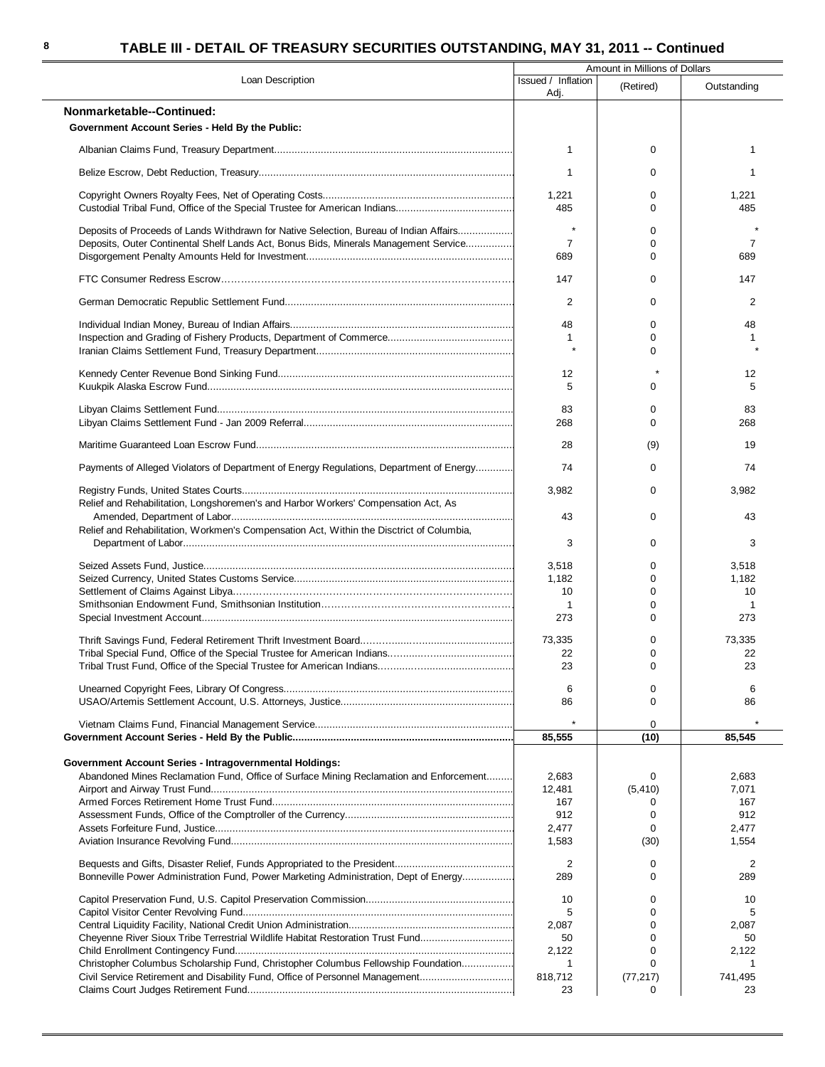|                                                                                          | Amount in Millions of Dollars |               |                |  |  |
|------------------------------------------------------------------------------------------|-------------------------------|---------------|----------------|--|--|
| Loan Description                                                                         | Issued / Inflation<br>Adj.    | (Retired)     | Outstanding    |  |  |
| Nonmarketable--Continued:                                                                |                               |               |                |  |  |
| Government Account Series - Held By the Public:                                          |                               |               |                |  |  |
|                                                                                          | $\mathbf{1}$                  | 0             | 1              |  |  |
|                                                                                          | 1                             | 0             | 1              |  |  |
|                                                                                          | 1,221                         | 0             | 1,221          |  |  |
|                                                                                          | 485                           | $\Omega$      | 485            |  |  |
| Deposits of Proceeds of Lands Withdrawn for Native Selection, Bureau of Indian Affairs   | $\star$                       | 0             |                |  |  |
| Deposits, Outer Continental Shelf Lands Act, Bonus Bids, Minerals Management Service     | $\overline{7}$                | 0<br>$\Omega$ | $\overline{7}$ |  |  |
|                                                                                          | 689                           |               | 689            |  |  |
|                                                                                          | 147                           | 0             | 147            |  |  |
|                                                                                          | 2                             | 0             | 2              |  |  |
|                                                                                          | 48                            | 0             | 48             |  |  |
|                                                                                          | 1                             | $\Omega$      |                |  |  |
|                                                                                          | $\star$                       | 0             |                |  |  |
|                                                                                          | 12                            | $\star$       | 12             |  |  |
|                                                                                          | 5                             | $\Omega$      | 5              |  |  |
|                                                                                          | 83                            | 0             | 83             |  |  |
|                                                                                          | 268                           | $\Omega$      | 268            |  |  |
|                                                                                          | 28                            | (9)           | 19             |  |  |
| Payments of Alleged Violators of Department of Energy Regulations, Department of Energy  | 74                            | $\mathbf 0$   | 74             |  |  |
|                                                                                          |                               |               |                |  |  |
| Relief and Rehabilitation, Longshoremen's and Harbor Workers' Compensation Act, As       | 3,982                         | $\Omega$      | 3,982          |  |  |
|                                                                                          | 43                            | 0             | 43             |  |  |
| Relief and Rehabilitation, Workmen's Compensation Act, Within the Disctrict of Columbia, | 3                             | 0             | 3              |  |  |
|                                                                                          |                               |               |                |  |  |
|                                                                                          | 3,518                         | 0             | 3,518          |  |  |
|                                                                                          | 1,182                         | 0             | 1,182          |  |  |
|                                                                                          | 10                            | 0<br>0        | 10<br>1        |  |  |
|                                                                                          | -1<br>273                     | 0             | 273            |  |  |
|                                                                                          |                               | 0             |                |  |  |
|                                                                                          | 73,335<br>22                  | $\Omega$      | 73,335<br>22   |  |  |
|                                                                                          | 23                            | O             | 23             |  |  |
|                                                                                          | 6                             | 0             | 6              |  |  |
|                                                                                          | 86                            | 0             | 86             |  |  |
|                                                                                          | $\star$                       | 0             |                |  |  |
|                                                                                          | 85,555                        | (10)          | 85,545         |  |  |
| <b>Government Account Series - Intragovernmental Holdings:</b>                           |                               |               |                |  |  |
| Abandoned Mines Reclamation Fund, Office of Surface Mining Reclamation and Enforcement   | 2,683                         | 0             | 2,683          |  |  |
|                                                                                          | 12.481                        | (5, 410)      | 7,071          |  |  |
|                                                                                          | 167                           | 0             | 167            |  |  |
|                                                                                          | 912                           | $\Omega$      | 912            |  |  |
|                                                                                          | 2,477                         | 0             | 2,477          |  |  |
|                                                                                          | 1,583                         | (30)          | 1,554          |  |  |
|                                                                                          | 2                             | 0             | 2              |  |  |
| Bonneville Power Administration Fund, Power Marketing Administration, Dept of Energy     | 289                           | $\Omega$      | 289            |  |  |
|                                                                                          | 10                            | 0             | 10             |  |  |
|                                                                                          | 5                             | $\Omega$      | 5              |  |  |
|                                                                                          | 2,087                         | 0             | 2,087          |  |  |
| Cheyenne River Sioux Tribe Terrestrial Wildlife Habitat Restoration Trust Fund           | 50                            | 0             | 50             |  |  |
|                                                                                          | 2,122                         | 0             | 2,122          |  |  |
| Christopher Columbus Scholarship Fund, Christopher Columbus Fellowship Foundation        | 1                             | $\Omega$      | 1              |  |  |
| Civil Service Retirement and Disability Fund, Office of Personnel Management             | 818,712                       | (77, 217)     | 741,495        |  |  |
|                                                                                          | 23                            | 0             | 23             |  |  |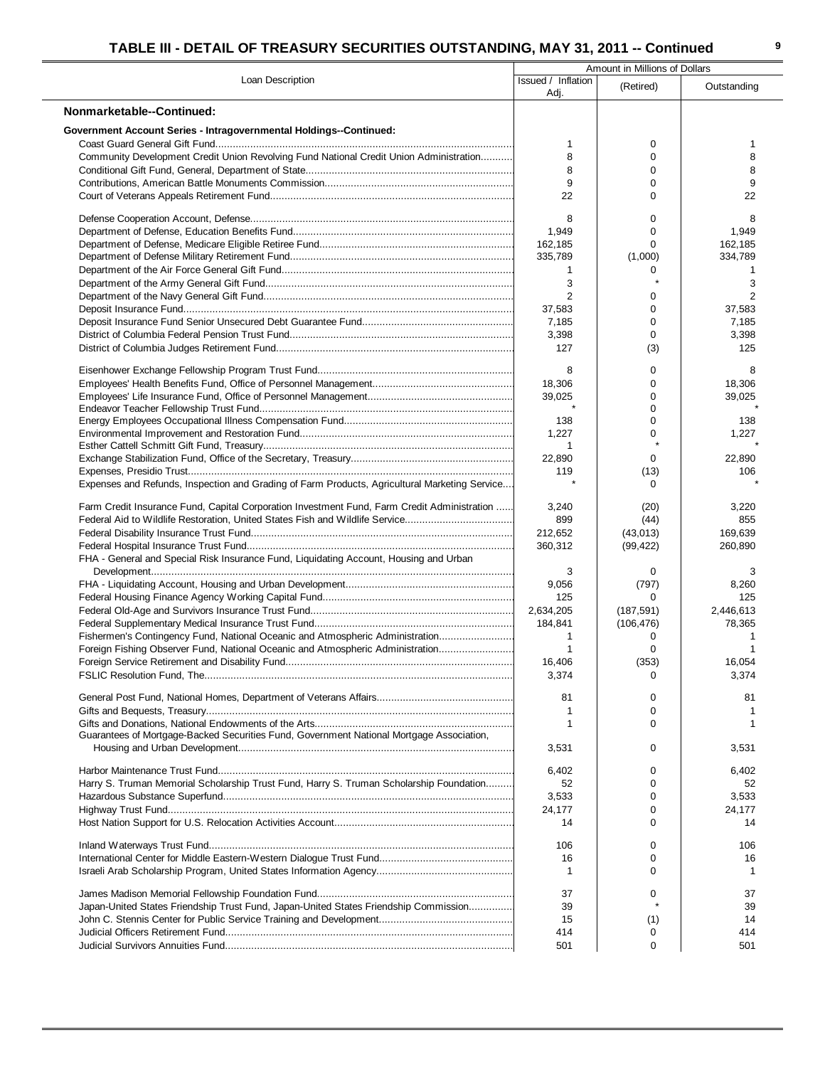|                                                                                               |                            | Amount in Millions of Dollars |                 |
|-----------------------------------------------------------------------------------------------|----------------------------|-------------------------------|-----------------|
| Loan Description                                                                              | Issued / Inflation<br>Adj. | (Retired)                     | Outstanding     |
| Nonmarketable--Continued:                                                                     |                            |                               |                 |
| <b>Government Account Series - Intragovernmental Holdings--Continued:</b>                     |                            |                               |                 |
|                                                                                               | 1                          | 0                             | 1               |
| Community Development Credit Union Revolving Fund National Credit Union Administration        | 8                          | $\mathbf 0$                   | 8               |
|                                                                                               | 8                          | 0                             | 8               |
|                                                                                               | 9                          | 0                             | 9               |
|                                                                                               | 22                         | 0                             | 22              |
|                                                                                               | 8                          | $\Omega$                      | 8               |
|                                                                                               | 1,949                      | $\Omega$                      | 1,949           |
|                                                                                               | 162,185                    | $\Omega$                      | 162,185         |
|                                                                                               | 335,789                    | (1,000)                       | 334,789         |
|                                                                                               | $\mathbf{1}$               | 0                             | 1               |
|                                                                                               | 3                          |                               | 3               |
|                                                                                               | 2                          | 0                             |                 |
|                                                                                               | 37,583<br>7,185            | $\mathbf 0$<br>0              | 37,583<br>7,185 |
|                                                                                               | 3,398                      | 0                             | 3,398           |
|                                                                                               | 127                        | (3)                           | 125             |
|                                                                                               |                            |                               |                 |
|                                                                                               | 8                          | 0                             | 8               |
|                                                                                               | 18,306                     | $\mathbf 0$                   | 18,306          |
|                                                                                               | 39,025                     | 0<br>$\Omega$                 | 39,025          |
|                                                                                               | 138                        | 0                             | 138             |
|                                                                                               | 1,227                      | 0                             | 1,227           |
|                                                                                               | -1                         |                               |                 |
|                                                                                               | 22,890                     | 0                             | 22,890          |
|                                                                                               | 119                        | (13)                          | 106             |
| Expenses and Refunds, Inspection and Grading of Farm Products, Agricultural Marketing Service |                            | 0                             |                 |
| Farm Credit Insurance Fund, Capital Corporation Investment Fund, Farm Credit Administration   | 3,240                      | (20)                          | 3,220           |
| Federal Aid to Wildlife Restoration, United States Fish and Wildlife Service                  | 899                        | (44)                          | 855             |
|                                                                                               | 212,652                    | (43,013)                      | 169,639         |
|                                                                                               | 360,312                    | (99, 422)                     | 260,890         |
| FHA - General and Special Risk Insurance Fund, Liquidating Account, Housing and Urban         |                            |                               |                 |
|                                                                                               | 3<br>9,056                 | 0<br>(797)                    | 3<br>8,260      |
|                                                                                               | 125                        | $\Omega$                      | 125             |
|                                                                                               | 2,634,205                  | (187, 591)                    | 2,446,613       |
|                                                                                               | 184,841                    | (106, 476)                    | 78,365          |
| Fishermen's Contingency Fund, National Oceanic and Atmospheric Administration                 | $\mathbf{1}$               | 0                             |                 |
| Foreign Fishing Observer Fund, National Oceanic and Atmospheric Administration                | $\mathbf{1}$               | 0                             | 1               |
|                                                                                               | 16,406<br>3,374            | (353)<br>0                    | 16,054<br>3,374 |
|                                                                                               |                            |                               |                 |
|                                                                                               | 81                         | 0                             | 81              |
|                                                                                               | 1                          | 0                             |                 |
|                                                                                               |                            | $\Omega$                      |                 |
| Guarantees of Mortgage-Backed Securities Fund, Government National Mortgage Association,      | 3,531                      | 0                             | 3,531           |
|                                                                                               |                            |                               |                 |
|                                                                                               | 6,402                      | 0                             | 6,402           |
| Harry S. Truman Memorial Scholarship Trust Fund, Harry S. Truman Scholarship Foundation       | 52                         | 0                             | 52              |
|                                                                                               | 3,533                      | 0                             | 3,533           |
|                                                                                               | 24,177<br>14               | 0<br>$\Omega$                 | 24,177<br>14    |
|                                                                                               |                            |                               |                 |
|                                                                                               | 106                        | 0                             | 106             |
|                                                                                               | 16                         | 0                             | 16              |
|                                                                                               | -1                         | $\Omega$                      |                 |
|                                                                                               | 37                         | $\Omega$                      | 37              |
| Japan-United States Friendship Trust Fund, Japan-United States Friendship Commission          | 39                         |                               | 39              |
|                                                                                               | 15                         | (1)                           | 14              |
|                                                                                               | 414                        | 0                             | 414             |
|                                                                                               | 501                        | 0                             | 501             |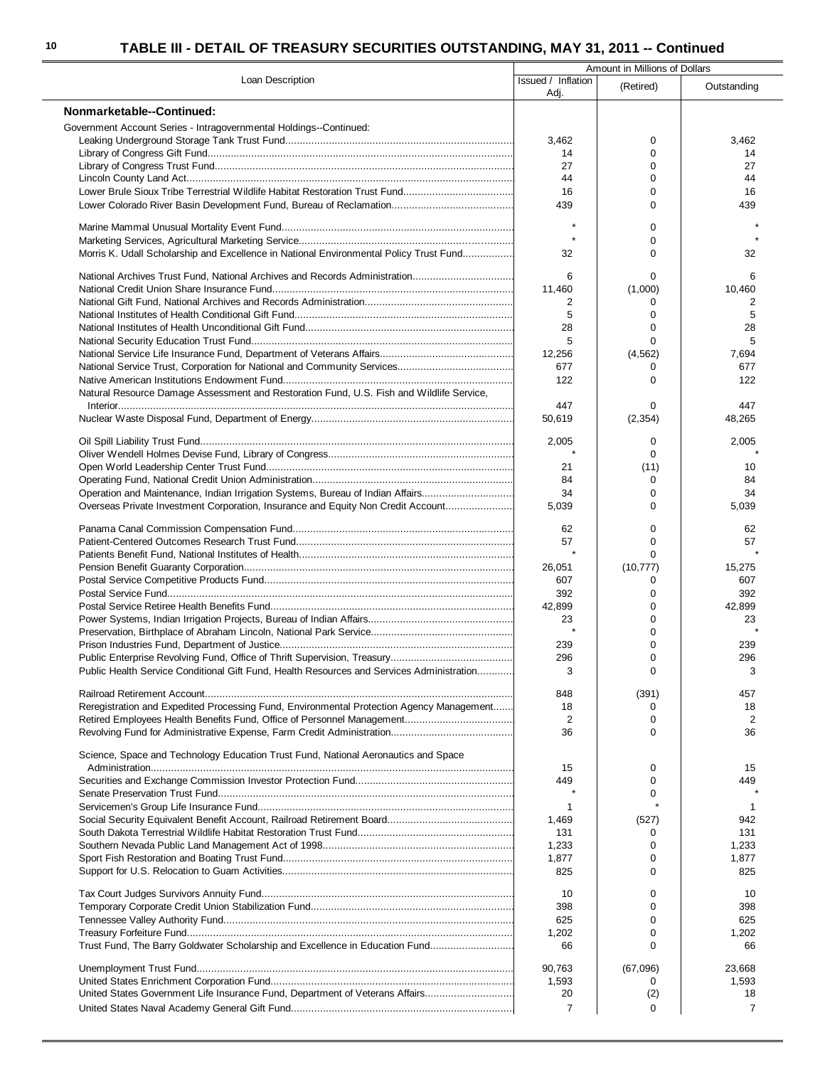|                                                                                           | Amount in Millions of Dollars |             |                |  |  |
|-------------------------------------------------------------------------------------------|-------------------------------|-------------|----------------|--|--|
| Loan Description                                                                          | Issued / Inflation<br>Adj.    | (Retired)   | Outstanding    |  |  |
| Nonmarketable--Continued:                                                                 |                               |             |                |  |  |
| Government Account Series - Intragovernmental Holdings--Continued:                        |                               |             |                |  |  |
|                                                                                           | 3,462                         | 0           | 3,462          |  |  |
|                                                                                           | 14                            | $\Omega$    | 14             |  |  |
|                                                                                           | 27                            | $\Omega$    | 27             |  |  |
|                                                                                           | 44                            | $\mathbf 0$ | 44             |  |  |
| Lower Brule Sioux Tribe Terrestrial Wildlife Habitat Restoration Trust Fund               | 16                            | $\Omega$    | 16             |  |  |
|                                                                                           | 439                           | $\mathbf 0$ | 439            |  |  |
|                                                                                           |                               |             |                |  |  |
|                                                                                           | $\star$                       | $\Omega$    |                |  |  |
|                                                                                           | $\star$                       | $\Omega$    |                |  |  |
| Morris K. Udall Scholarship and Excellence in National Environmental Policy Trust Fund    | 32                            | $\Omega$    | 32             |  |  |
|                                                                                           |                               |             |                |  |  |
| National Archives Trust Fund, National Archives and Records Administration                | 6                             | $\Omega$    | 6              |  |  |
|                                                                                           | 11,460                        | (1,000)     | 10,460         |  |  |
|                                                                                           | 2                             | 0           | 2              |  |  |
|                                                                                           | 5                             | $\Omega$    | 5              |  |  |
|                                                                                           | 28                            | $\mathbf 0$ | 28             |  |  |
|                                                                                           | 5                             | $\Omega$    | 5              |  |  |
|                                                                                           |                               |             |                |  |  |
|                                                                                           | 12,256                        | (4, 562)    | 7,694          |  |  |
|                                                                                           | 677                           | 0           | 677            |  |  |
|                                                                                           | 122                           | $\Omega$    | 122            |  |  |
| Natural Resource Damage Assessment and Restoration Fund, U.S. Fish and Wildlife Service,  |                               |             |                |  |  |
|                                                                                           | 447                           | $\Omega$    | 447            |  |  |
|                                                                                           | 50,619                        | (2, 354)    | 48,265         |  |  |
|                                                                                           |                               |             |                |  |  |
|                                                                                           | 2,005                         | 0           | 2,005          |  |  |
|                                                                                           |                               | $\Omega$    |                |  |  |
|                                                                                           | 21                            | (11)        | 10             |  |  |
|                                                                                           | 84                            | 0           | 84             |  |  |
| Operation and Maintenance, Indian Irrigation Systems, Bureau of Indian Affairs            | 34                            | $\mathbf 0$ | 34             |  |  |
| Overseas Private Investment Corporation, Insurance and Equity Non Credit Account          | 5,039                         | $\Omega$    | 5,039          |  |  |
|                                                                                           |                               | 0           | 62             |  |  |
|                                                                                           | 62                            |             |                |  |  |
|                                                                                           | 57                            | $\Omega$    | 57             |  |  |
|                                                                                           |                               | $\Omega$    |                |  |  |
|                                                                                           | 26,051                        | (10, 777)   | 15,275         |  |  |
|                                                                                           | 607                           | 0           | 607            |  |  |
|                                                                                           | 392                           | 0           | 392            |  |  |
|                                                                                           | 42,899                        | $\Omega$    | 42,899         |  |  |
|                                                                                           | 23                            | $\Omega$    | 23             |  |  |
|                                                                                           | $\star$                       | $\mathbf 0$ |                |  |  |
|                                                                                           | 239                           | $\Omega$    | 239            |  |  |
|                                                                                           | 296                           | $\Omega$    | 296            |  |  |
| Public Health Service Conditional Gift Fund, Health Resources and Services Administration | 3                             | 0           | 3              |  |  |
|                                                                                           |                               |             |                |  |  |
|                                                                                           | 848                           | (391)       | 457            |  |  |
| Reregistration and Expedited Processing Fund, Environmental Protection Agency Management  | 18                            | 0           | 18             |  |  |
|                                                                                           | 2                             | $\Omega$    | 2              |  |  |
|                                                                                           | 36                            | $\Omega$    | 36             |  |  |
|                                                                                           |                               |             |                |  |  |
| Science, Space and Technology Education Trust Fund, National Aeronautics and Space        |                               |             |                |  |  |
|                                                                                           | 15                            | 0           | 15             |  |  |
|                                                                                           | 449                           | $\Omega$    | 449            |  |  |
|                                                                                           |                               | $\Omega$    |                |  |  |
|                                                                                           | $\mathbf{1}$                  |             | 1              |  |  |
|                                                                                           | 1,469                         | (527)       | 942            |  |  |
|                                                                                           | 131                           | 0           | 131            |  |  |
|                                                                                           | 1,233                         | $\Omega$    | 1,233          |  |  |
|                                                                                           |                               |             |                |  |  |
|                                                                                           | 1,877                         | 0           | 1,877          |  |  |
|                                                                                           | 825                           | $\Omega$    | 825            |  |  |
|                                                                                           | 10                            | 0           | 10             |  |  |
|                                                                                           |                               |             |                |  |  |
|                                                                                           | 398                           | $\Omega$    | 398            |  |  |
|                                                                                           | 625                           | $\Omega$    | 625            |  |  |
|                                                                                           | 1,202                         | 0           | 1,202          |  |  |
| Trust Fund, The Barry Goldwater Scholarship and Excellence in Education Fund              | 66                            | $\Omega$    | 66             |  |  |
|                                                                                           | 90,763                        | (67,096)    | 23,668         |  |  |
|                                                                                           | 1,593                         | 0           | 1,593          |  |  |
| United States Government Life Insurance Fund, Department of Veterans Affairs              | 20                            | (2)         | 18             |  |  |
|                                                                                           |                               |             |                |  |  |
|                                                                                           | $\overline{7}$                | 0           | $\overline{7}$ |  |  |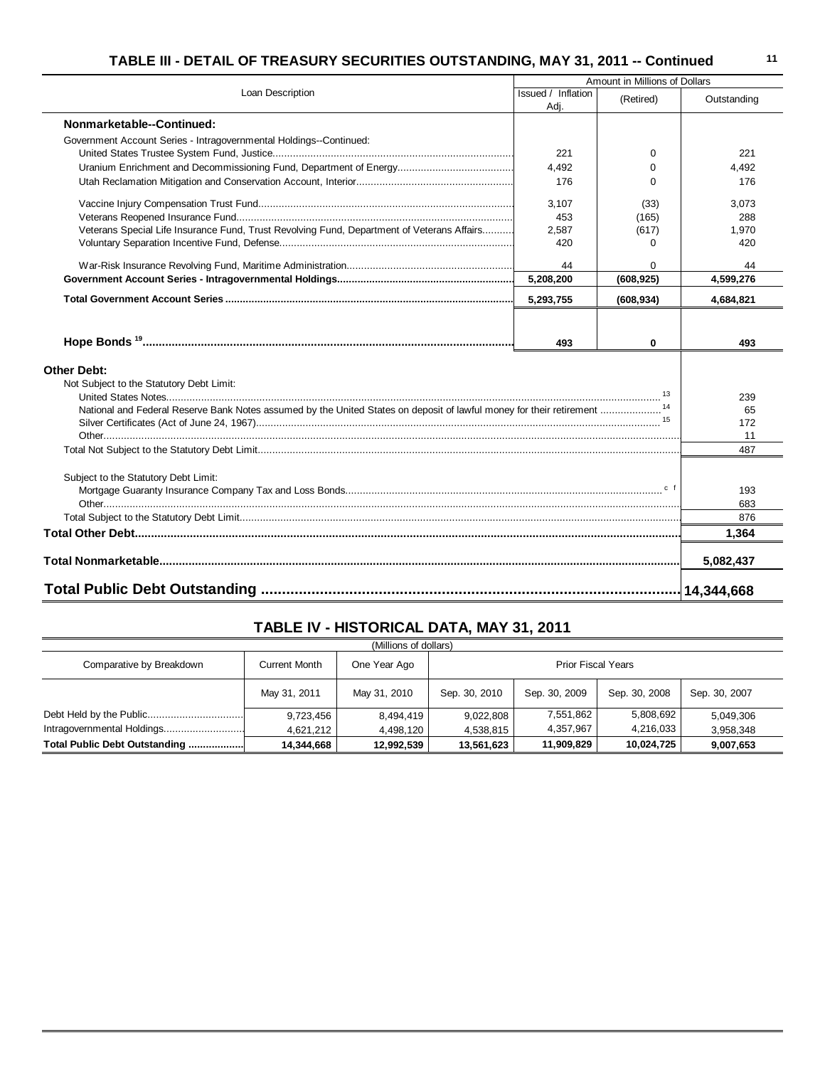|                                                                                            |                            | Amount in Millions of Dollars |               |
|--------------------------------------------------------------------------------------------|----------------------------|-------------------------------|---------------|
| Loan Description                                                                           | Issued / Inflation<br>Adj. | (Retired)                     | Outstanding   |
| Nonmarketable--Continued:                                                                  |                            |                               |               |
| Government Account Series - Intragovernmental Holdings--Continued:                         |                            |                               |               |
|                                                                                            | 221                        | $\Omega$                      | 221           |
|                                                                                            | 4.492                      | $\Omega$                      | 4.492         |
|                                                                                            | 176                        | $\Omega$                      | 176           |
|                                                                                            | 3,107                      | (33)                          | 3,073         |
|                                                                                            | 453                        | (165)                         | 288           |
| Veterans Special Life Insurance Fund, Trust Revolving Fund, Department of Veterans Affairs | 2,587                      | (617)                         | 1,970         |
|                                                                                            | 420                        | 0                             | 420           |
|                                                                                            | 44                         | 0                             | 44            |
|                                                                                            | 5,208,200                  | (608, 925)                    | 4,599,276     |
|                                                                                            | 5,293,755                  | (608, 934)                    | 4,684,821     |
|                                                                                            |                            |                               |               |
|                                                                                            | 493                        | 0                             | 493           |
| <b>Other Debt:</b>                                                                         |                            |                               |               |
| Not Subject to the Statutory Debt Limit:                                                   |                            |                               |               |
|                                                                                            |                            |                               | 239           |
|                                                                                            |                            |                               | 65            |
|                                                                                            |                            |                               | 172           |
|                                                                                            |                            |                               | 11            |
|                                                                                            |                            |                               | 487           |
| Subject to the Statutory Debt Limit:                                                       |                            |                               |               |
|                                                                                            |                            |                               | 193           |
|                                                                                            |                            |                               | 683           |
|                                                                                            |                            |                               | 876           |
|                                                                                            |                            |                               | 1,364         |
|                                                                                            |                            |                               |               |
|                                                                                            |                            |                               | 5,082,437     |
|                                                                                            |                            |                               | $-14,344,668$ |

# **TABLE IV - HISTORICAL DATA, MAY 31, 2011**

| (Millions of dollars)         |               |              |                           |               |               |               |
|-------------------------------|---------------|--------------|---------------------------|---------------|---------------|---------------|
| Comparative by Breakdown      | Current Month | One Year Ago | <b>Prior Fiscal Years</b> |               |               |               |
|                               | May 31, 2011  | May 31, 2010 | Sep. 30, 2010             | Sep. 30, 2009 | Sep. 30, 2008 | Sep. 30, 2007 |
|                               | 9,723,456     | 8,494,419    | 9,022,808                 | 7,551,862     | 5,808,692     | 5,049,306     |
| Intragovernmental Holdings    | 4,621,212     | 4,498,120    | 4,538,815                 | 4,357,967     | 4,216,033     | 3,958,348     |
| Total Public Debt Outstanding | 14.344.668    | 12,992,539   | 13,561,623                | 11,909,829    | 10,024,725    | 9,007,653     |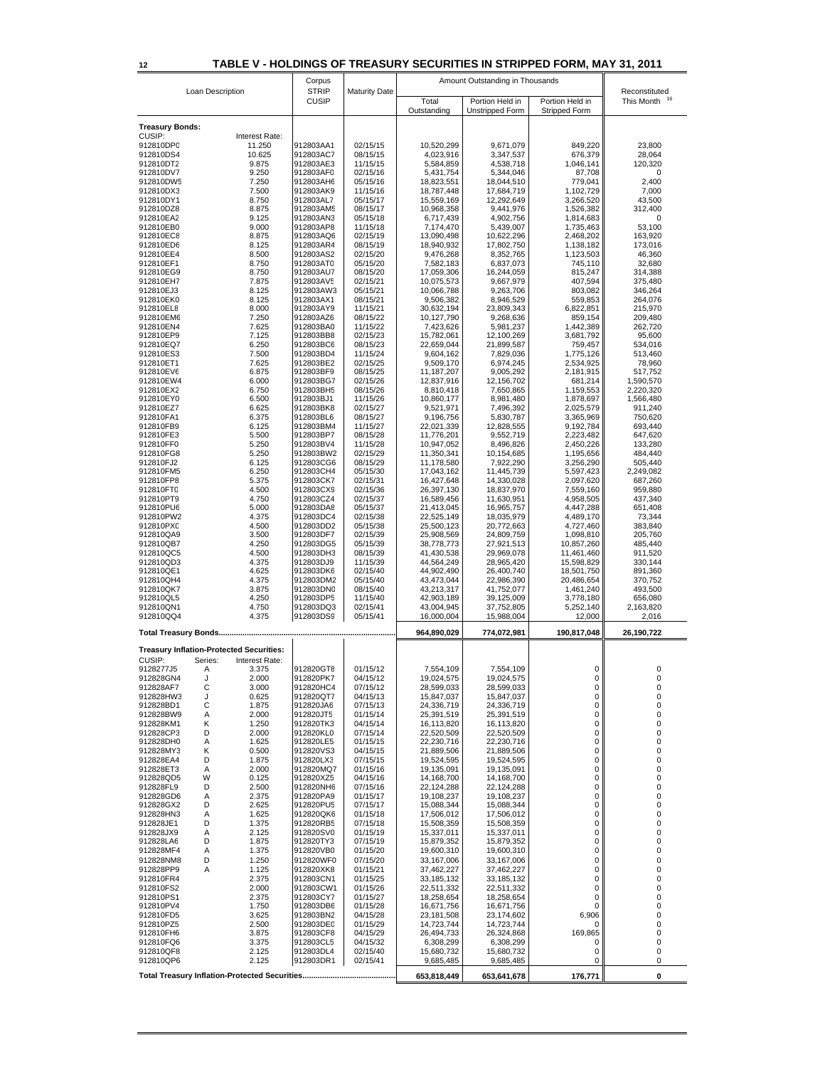# **12 TABLE V - HOLDINGS OF TREASURY SECURITIES IN STRIPPED FORM, MAY 31, 2011**

|                        |                  |                                                 | Corpus                 |                      |                          | Amount Outstanding in Thousands           |                                  |                                   |
|------------------------|------------------|-------------------------------------------------|------------------------|----------------------|--------------------------|-------------------------------------------|----------------------------------|-----------------------------------|
|                        | Loan Description |                                                 | <b>STRIP</b>           | <b>Maturity Date</b> |                          |                                           |                                  | Reconstituted<br>16<br>This Month |
|                        |                  |                                                 | <b>CUSIP</b>           |                      | Total<br>Outstanding     | Portion Held in<br><b>Unstripped Form</b> | Portion Held in<br>Stripped Form |                                   |
|                        |                  |                                                 |                        |                      |                          |                                           |                                  |                                   |
| <b>Treasury Bonds:</b> |                  |                                                 |                        |                      |                          |                                           |                                  |                                   |
| CUSIP:                 |                  | Interest Rate:                                  |                        |                      |                          |                                           |                                  |                                   |
| 912810DP0<br>912810DS4 |                  | 11.250<br>10.625                                | 912803AA1<br>912803AC7 | 02/15/15<br>08/15/15 | 10,520,299<br>4,023,916  | 9,671,079<br>3,347,537                    | 849,220<br>676,379               | 23,800<br>28.064                  |
| 912810DT2              |                  | 9.875                                           | 912803AE3              | 11/15/15             | 5,584,859                | 4,538,718                                 | 1,046,141                        | 120,320                           |
| 912810DV7              |                  | 9.250                                           | 912803AF0              | 02/15/16             | 5,431,754                | 5.344.046                                 | 87,708                           | 0                                 |
| 912810DW5              |                  | 7.250                                           | 912803AH6              | 05/15/16             | 18,823,551               | 18,044,510                                | 779,041                          | 2,400                             |
| 912810DX3              |                  | 7.500                                           | 912803AK9              | 11/15/16             | 18,787,448               | 17,684,719                                | 1,102,729                        | 7,000                             |
| 912810DY1              |                  | 8.750                                           | 912803AL7              | 05/15/17             | 15,559,169               | 12,292,649                                | 3,266,520                        | 43,500                            |
| 912810DZ8              |                  | 8.875                                           | 912803AM5              | 08/15/17             | 10,968,358               | 9,441,976                                 | 1,526,382                        | 312,400                           |
| 912810EA2              |                  | 9.125                                           | 912803AN3              | 05/15/18             | 6,717,439                | 4,902,756                                 | 1,814,683                        | 0                                 |
| 912810EB0              |                  | 9.000                                           | 912803AP8              | 11/15/18             | 7,174,470                | 5,439,007                                 | 1,735,463                        | 53,100                            |
| 912810EC8              |                  | 8.875                                           | 912803AQ6              | 02/15/19             | 13,090,498               | 10,622,296                                | 2,468,202                        | 163,920                           |
| 912810ED6              |                  | 8.125<br>8.500                                  | 912803AR4<br>912803AS2 | 08/15/19<br>02/15/20 | 18,940,932               | 17,802,750                                | 1,138,182                        | 173,016                           |
| 912810EE4<br>912810EF1 |                  | 8.750                                           | 912803AT0              | 05/15/20             | 9,476,268<br>7,582,183   | 8,352,765<br>6,837,073                    | 1,123,503<br>745,110             | 46,360<br>32,680                  |
| 912810EG9              |                  | 8.750                                           | 912803AU7              | 08/15/20             | 17,059,306               | 16,244,059                                | 815,247                          | 314,388                           |
| 912810EH7              |                  | 7.875                                           | 912803AV5              | 02/15/21             | 10,075,573               | 9,667,979                                 | 407,594                          | 375,480                           |
| 912810EJ3              |                  | 8.125                                           | 912803AW3              | 05/15/21             | 10,066,788               | 9,263,706                                 | 803,082                          | 346,264                           |
| 912810EK0              |                  | 8.125                                           | 912803AX1              | 08/15/21             | 9,506,382                | 8,946,529                                 | 559,853                          | 264,076                           |
| 912810EL8              |                  | 8.000                                           | 912803AY9              | 11/15/21             | 30,632,194               | 23,809,343                                | 6,822,851                        | 215,970                           |
| 912810EM6              |                  | 7.250                                           | 912803AZ6              | 08/15/22             | 10,127,790               | 9,268,636                                 | 859,154                          | 209,480                           |
| 912810EN4              |                  | 7.625                                           | 912803BA0              | 11/15/22             | 7,423,626                | 5,981,237                                 | 1,442,389                        | 262,720                           |
| 912810EP9              |                  | 7.125                                           | 912803BB8              | 02/15/23             | 15,782,061               | 12,100,269                                | 3,681,792                        | 95,600                            |
| 912810EQ7              |                  | 6.250                                           | 912803BC6              | 08/15/23             | 22,659,044               | 21,899,587                                | 759,457                          | 534,016                           |
| 912810ES3<br>912810ET1 |                  | 7.500<br>7.625                                  | 912803BD4<br>912803BE2 | 11/15/24<br>02/15/25 | 9,604,162<br>9,509,170   | 7,829,036<br>6,974,245                    | 1,775,126<br>2,534,925           | 513,460<br>78,960                 |
| 912810EV6              |                  | 6.875                                           | 912803BF9              | 08/15/25             | 11, 187, 207             | 9,005,292                                 | 2,181,915                        | 517,752                           |
| 912810EW4              |                  | 6.000                                           | 912803BG7              | 02/15/26             | 12,837,916               | 12,156,702                                | 681,214                          | 1,590,570                         |
| 912810EX2              |                  | 6.750                                           | 912803BH5              | 08/15/26             | 8,810,418                | 7,650,865                                 | 1,159,553                        | 2,220,320                         |
| 912810EY0              |                  | 6.500                                           | 912803BJ1              | 11/15/26             | 10,860,177               | 8,981,480                                 | 1,878,697                        | 1,566,480                         |
| 912810EZ7              |                  | 6.625                                           | 912803BK8              | 02/15/27             | 9,521,971                | 7,496,392                                 | 2,025,579                        | 911,240                           |
| 912810FA1              |                  | 6.375                                           | 912803BL6              | 08/15/27             | 9,196,756                | 5,830,787                                 | 3,365,969                        | 750,620                           |
| 912810FB9              |                  | 6.125                                           | 912803BM4              | 11/15/27             | 22,021,339               | 12,828,555                                | 9,192,784                        | 693,440                           |
| 912810FE3              |                  | 5.500                                           | 912803BP7              | 08/15/28             | 11,776,201               | 9,552,719                                 | 2,223,482                        | 647,620                           |
| 912810FF0              |                  | 5.250                                           | 912803BV4              | 11/15/28             | 10,947,052               | 8,496,826                                 | 2,450,226                        | 133,280                           |
| 912810FG8              |                  | 5.250                                           | 912803BW2              | 02/15/29             | 11,350,341               | 10,154,685                                | 1,195,656                        | 484,440                           |
| 912810FJ2              |                  | 6.125<br>6.250                                  | 912803CG6              | 08/15/29<br>05/15/30 | 11,178,580               | 7,922,290                                 | 3,256,290                        | 505,440                           |
| 912810FM5<br>912810FP8 |                  | 5.375                                           | 912803CH4<br>912803CK7 | 02/15/31             | 17,043,162<br>16,427,648 | 11,445,739<br>14,330,028                  | 5,597,423<br>2,097,620           | 2,249,082<br>687,260              |
| 912810FT0              |                  | 4.500                                           | 912803CX9              | 02/15/36             | 26,397,130               | 18,837,970                                | 7,559,160                        | 959,880                           |
| 912810PT9              |                  | 4.750                                           | 912803CZ4              | 02/15/37             | 16,589,456               | 11,630,951                                | 4,958,505                        | 437,340                           |
| 912810PU6              |                  | 5.000                                           | 912803DA8              | 05/15/37             | 21,413,045               | 16,965,757                                | 4,447,288                        | 651,408                           |
| 912810PW2              |                  | 4.375                                           | 912803DC4              | 02/15/38             | 22,525,149               | 18,035,979                                | 4,489,170                        | 73,344                            |
| 912810PX0              |                  | 4.500                                           | 912803DD2              | 05/15/38             | 25,500,123               | 20,772,663                                | 4,727,460                        | 383,840                           |
| 912810QA9              |                  | 3.500                                           | 912803DF7              | 02/15/39             | 25,908,569               | 24,809,759                                | 1,098,810                        | 205,760                           |
| 912810QB7              |                  | 4.250                                           | 912803DG5              | 05/15/39             | 38,778,773               | 27,921,513                                | 10,857,260                       | 485,440                           |
| 912810QC5              |                  | 4.500                                           | 912803DH3              | 08/15/39             | 41,430,538               | 29,969,078                                | 11,461,460                       | 911,520                           |
| 912810QD3              |                  | 4.375                                           | 912803DJ9              | 11/15/39             | 44,564,249               | 28,965,420                                | 15,598,829                       | 330,144                           |
| 912810QE1              |                  | 4.625                                           | 912803DK6              | 02/15/40             | 44,902,490               | 26,400,740                                | 18,501,750                       | 891,360                           |
| 912810QH4              |                  | 4.375                                           | 912803DM2              | 05/15/40             | 43,473,044               | 22,986,390                                | 20,486,654                       | 370,752                           |
| 912810QK7<br>912810QL5 |                  | 3.875<br>4.250                                  | 912803DN0<br>912803DP5 | 08/15/40<br>11/15/40 | 43,213,317<br>42,903,189 | 41,752,077<br>39,125,009                  | 1,461,240<br>3,778,180           | 493,500<br>656,080                |
| 912810QN1              |                  | 4.750                                           | 912803DQ3              | 02/15/41             | 43,004,945               | 37,752,805                                | 5,252,140                        | 2,163,820                         |
| 912810QQ4              |                  | 4.375                                           | 912803DS9              | 05/15/41             | 16,000,004               | 15,988,004                                | 12,000                           | 2,016                             |
|                        |                  |                                                 |                        |                      |                          |                                           |                                  |                                   |
|                        |                  |                                                 |                        |                      | 964,890,029              | 774,072,981                               | 190,817,048                      | 26,190,722                        |
|                        |                  |                                                 |                        |                      |                          |                                           |                                  |                                   |
|                        |                  | <b>Treasury Inflation-Protected Securities:</b> |                        |                      |                          |                                           |                                  |                                   |
| CUSIP:                 | Series:          | Interest Rate:                                  |                        |                      |                          |                                           |                                  |                                   |
| 9128277J5              | Α<br>J           | 3.375<br>2.000                                  | 912820GT8<br>912820PK7 | 01/15/12<br>04/15/12 | 7,554,109<br>19,024,575  | 7,554,109                                 | 0<br>0                           | 0<br>0                            |
| 912828GN4              | С                | 3.000                                           |                        |                      | 28,599,033               | 19,024,575<br>28,599,033                  | 0                                | 0                                 |
| 912828AF7<br>912828HW3 | J                | 0.625                                           | 912820HC4<br>912820QT7 | 07/15/12<br>04/15/13 | 15,847,037               | 15,847,037                                | 0                                | 0                                 |
| 912828BD1              | С                | 1.875                                           | 912820JA6              | 07/15/13             | 24,336,719               | 24,336,719                                | 0                                | 0                                 |
| 912828BW9              | Α                | 2.000                                           | 912820JT5              | 01/15/14             | 25,391,519               | 25,391,519                                | 0                                | 0                                 |
| 912828KM1              | Κ                | 1.250                                           | 912820TK3              | 04/15/14             | 16,113,820               | 16,113,820                                | 0                                | 0                                 |
| 912828CP3              | D                | 2.000                                           | 912820KL0              | 07/15/14             | 22,520,509               | 22,520,509                                | 0                                | 0                                 |
| 912828DH0              | Α                | 1.625                                           | 912820LE5              | 01/15/15             | 22,230,716               | 22,230,716                                | 0                                | 0                                 |
| 912828MY3              | Κ                | 0.500                                           | 912820VS3              | 04/15/15             | 21,889,506               | 21,889,506                                | 0                                | 0                                 |
| 912828EA4              | D                | 1.875                                           | 912820LX3              | 07/15/15             | 19,524,595               | 19,524,595                                | 0                                | 0                                 |
| 912828ET3              | Α<br>W           | 2.000<br>0.125                                  | 912820MQ7<br>912820XZ5 | 01/15/16             | 19,135,091               | 19,135,091                                | 0<br>0                           | 0<br>0                            |
| 912828QD5<br>912828FL9 | D                | 2.500                                           | 912820NH6              | 04/15/16<br>07/15/16 | 14,168,700<br>22,124,288 | 14,168,700<br>22,124,288                  | 0                                | 0                                 |
| 912828GD6              | Α                | 2.375                                           | 912820PA9              | 01/15/17             | 19,108,237               | 19,108,237                                | 0                                | 0                                 |
| 912828GX2              | D                | 2.625                                           | 912820PU5              | 07/15/17             | 15,088,344               | 15,088,344                                | 0                                | 0                                 |
| 912828HN3              | Α                | 1.625                                           | 912820QK6              | 01/15/18             | 17,506,012               | 17,506,012                                | 0                                | 0                                 |
| 912828JE1              | D                | 1.375                                           | 912820RB5              | 07/15/18             | 15,508,359               | 15,508,359                                | 0                                | 0                                 |
| 912828JX9              | Α                | 2.125                                           | 912820SV0              | 01/15/19             | 15,337,011               | 15,337,011                                | 0                                | 0                                 |
| 912828LA6              | D                | 1.875                                           | 912820TY3              | 07/15/19             | 15,879,352               | 15,879,352                                | 0                                | 0                                 |
| 912828MF4              | Α                | 1.375                                           | 912820VB0              | 01/15/20             | 19,600,310               | 19,600,310                                | 0                                | 0                                 |
| 912828NM8              | D                | 1.250                                           | 912820WF0              | 07/15/20             | 33,167,006               | 33,167,006                                | 0                                | 0                                 |
| 912828PP9              | А                | 1.125                                           | 912820XK8              | 01/15/21             | 37,462,227               | 37,462,227                                | 0                                | 0                                 |
| 912810FR4              |                  | 2.375                                           | 912803CN1              | 01/15/25             | 33,185,132               | 33,185,132                                | 0                                | 0                                 |
| 912810FS2              |                  | 2.000                                           | 912803CW1              | 01/15/26             | 22,511,332               | 22,511,332                                | 0                                | 0                                 |
| 912810PS1              |                  | 2.375                                           | 912803CY7              | 01/15/27             | 18,258,654               | 18,258,654                                | 0                                | 0                                 |
| 912810PV4<br>912810FD5 |                  | 1.750<br>3.625                                  | 912803DB6<br>912803BN2 | 01/15/28<br>04/15/28 | 16,671,756<br>23,181,508 | 16,671,756<br>23,174,602                  | 0<br>6,906                       | 0<br>0                            |
| 912810PZ5              |                  | 2.500                                           | 912803DE0              | 01/15/29             | 14,723,744               | 14,723,744                                | 0                                | 0                                 |
| 912810FH6              |                  | 3.875                                           | 912803CF8              | 04/15/29             | 26,494,733               | 26,324,868                                | 169,865                          | 0                                 |
| 912810FQ6              |                  | 3.375                                           | 912803CL5              | 04/15/32             | 6,308,299                | 6,308,299                                 | 0                                | 0                                 |
| 912810QF8              |                  | 2.125                                           | 912803DL4              | 02/15/40             | 15,680,732               | 15,680,732                                | 0                                | 0                                 |
| 912810QP6              |                  | 2.125                                           | 912803DR1              | 02/15/41             | 9,685,485                | 9,685,485                                 | 0                                | 0                                 |
|                        |                  |                                                 |                        |                      |                          |                                           |                                  |                                   |
|                        |                  |                                                 |                        |                      | 653,818,449              | 653,641,678                               | 176,771                          | 0                                 |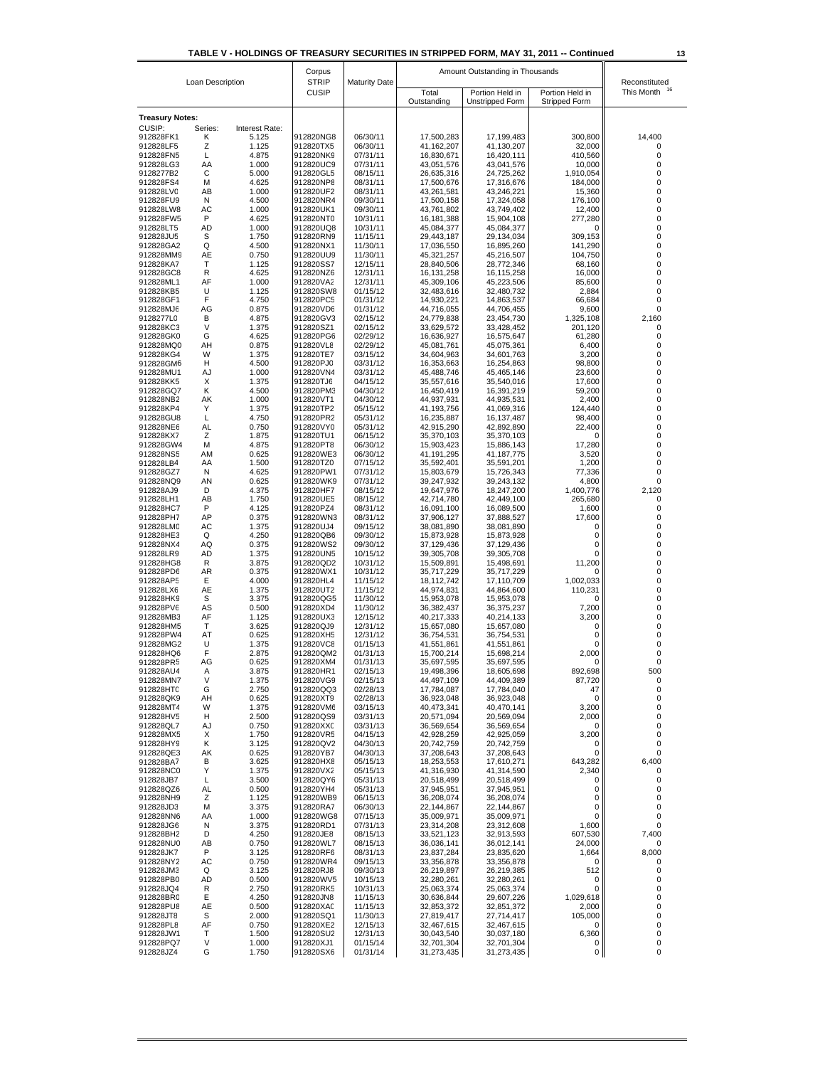| TABLE V - HOLDINGS OF TREASURY SECURITIES IN STRIPPED FORM, MAY 31, 2011 -- Continued |              |                              | Corpus                 |                      |                                                    | 13                       |                             |                      |
|---------------------------------------------------------------------------------------|--------------|------------------------------|------------------------|----------------------|----------------------------------------------------|--------------------------|-----------------------------|----------------------|
| Loan Description                                                                      |              | <b>STRIP</b><br><b>CUSIP</b> | <b>Maturity Date</b>   | Total                | Amount Outstanding in Thousands<br>Portion Held in | Portion Held in          | Reconstituted<br>This Month |                      |
|                                                                                       |              |                              |                        |                      | Outstanding                                        | <b>Unstripped Form</b>   | Stripped Form               |                      |
| <b>Treasury Notes:</b>                                                                |              |                              |                        |                      |                                                    |                          |                             |                      |
| CUSIP:<br>912828FK1                                                                   | Series:<br>κ | Interest Rate:<br>5.125      | 912820NG8              | 06/30/11             | 17,500,283                                         | 17,199,483               | 300,800                     | 14,400               |
| 912828LF5                                                                             | Ζ            | 1.125                        | 912820TX5              | 06/30/11             | 41,162,207                                         | 41,130,207               | 32,000                      | 0                    |
| 912828FN5                                                                             | L            | 4.875                        | 912820NK9              | 07/31/11             | 16,830,671                                         | 16,420,111               | 410,560                     | 0                    |
| 912828LG3<br>9128277B2                                                                | AA<br>С      | 1.000<br>5.000               | 912820UC9<br>912820GL5 | 07/31/11<br>08/15/11 | 43,051,576<br>26,635,316                           | 43,041,576<br>24,725,262 | 10,000<br>1,910,054         | 0<br>0               |
| 912828FS4                                                                             | м            | 4.625                        | 912820NP8              | 08/31/11             | 17,500,676                                         | 17,316,676               | 184,000                     | 0                    |
| 912828LV0                                                                             | AB           | 1.000                        | 912820UF2              | 08/31/11             | 43,261,581                                         | 43,246,221               | 15,360                      | 0                    |
| 912828FU9<br>912828LW8                                                                | N<br>AC      | 4.500<br>1.000               | 912820NR4<br>912820UK1 | 09/30/11<br>09/30/11 | 17,500,158<br>43,761,802                           | 17,324,058<br>43,749,402 | 176,100<br>12,400           | 0<br>0               |
| 912828FW5                                                                             | P            | 4.625                        | 912820NT0              | 10/31/11             | 16,181,388                                         | 15,904,108               | 277,280                     | 0                    |
| 912828LT5                                                                             | <b>AD</b>    | 1.000                        | 912820UQ8              | 10/31/11             | 45,084,377                                         | 45,084,377               | 0                           | 0                    |
| 912828JU5<br>912828GA2                                                                | S<br>Q       | 1.750<br>4.500               | 912820RN9<br>912820NX1 | 11/15/11<br>11/30/11 | 29,443,187<br>17,036,550                           | 29,134,034<br>16,895,260 | 309,153<br>141,290          | $\mathbf 0$<br>0     |
| 912828MM9                                                                             | AE           | 0.750                        | 912820UU9              | 11/30/11             | 45,321,257                                         | 45,216,507               | 104,750                     | 0                    |
| 912828KA7                                                                             | т            | 1.125                        | 912820SS7              | 12/15/11             | 28,840,506                                         | 28,772,346               | 68,160                      | 0                    |
| 912828GC8                                                                             | R            | 4.625                        | 912820NZ6              | 12/31/11             | 16,131,258                                         | 16,115,258               | 16,000                      | 0                    |
| 912828ML1<br>912828KB5                                                                | AF<br>U      | 1.000<br>1.125               | 912820VA2<br>912820SW8 | 12/31/11<br>01/15/12 | 45,309,106<br>32,483,616                           | 45,223,506<br>32,480,732 | 85,600<br>2,884             | 0<br>0               |
| 912828GF1                                                                             | F            | 4.750                        | 912820PC5              | 01/31/12             | 14,930,221                                         | 14,863,537               | 66,684                      | 0                    |
| 912828MJ6                                                                             | AG           | 0.875                        | 912820VD6              | 01/31/12             | 44,716,055                                         | 44,706,455               | 9,600                       | $\mathbf 0$          |
| 9128277L0<br>912828KC3                                                                | В<br>V       | 4.875<br>1.375               | 912820GV3<br>912820SZ1 | 02/15/12<br>02/15/12 | 24,779,838<br>33,629,572                           | 23,454,730<br>33,428,452 | 1,325,108<br>201,120        | 2.160<br>0           |
| 912828GK0                                                                             | G            | 4.625                        | 912820PG6              | 02/29/12             | 16,636,927                                         | 16,575,647               | 61,280                      | 0                    |
| 912828MQ0                                                                             | AΗ           | 0.875                        | 912820VL8              | 02/29/12             | 45,081,761                                         | 45,075,361               | 6,400                       | 0                    |
| 912828KG4                                                                             | W            | 1.375                        | 912820TE7              | 03/15/12<br>03/31/12 | 34,604,963                                         | 34,601,763               | 3,200<br>98.800             | 0                    |
| 912828GM6<br>912828MU1                                                                | н<br>AJ      | 4.500<br>1.000               | 912820PJ0<br>912820VN4 | 03/31/12             | 16,353,663<br>45,488,746                           | 16,254,863<br>45,465,146 | 23,600                      | 0<br>0               |
| 912828KK5                                                                             | Х            | 1.375                        | 912820TJ6              | 04/15/12             | 35,557,616                                         | 35,540,016               | 17,600                      | 0                    |
| 912828GQ7                                                                             | Κ            | 4.500                        | 912820PM3              | 04/30/12             | 16,450,419                                         | 16,391,219               | 59,200                      | 0                    |
| 912828NB2<br>912828KP4                                                                | АK<br>Y      | 1.000<br>1.375               | 912820VT1<br>912820TP2 | 04/30/12<br>05/15/12 | 44,937,931<br>41,193,756                           | 44,935,531<br>41,069,316 | 2,400<br>124,440            | 0<br>0               |
| 912828GU8                                                                             | Г            | 4.750                        | 912820PR2              | 05/31/12             | 16,235,887                                         | 16, 137, 487             | 98.400                      | 0                    |
| 912828NE6                                                                             | AL           | 0.750                        | 912820VY0              | 05/31/12             | 42,915,290                                         | 42,892,890               | 22,400                      | 0                    |
| 912828KX7<br>912828GW4                                                                | Ζ<br>м       | 1.875<br>4.875               | 912820TU1<br>912820PT8 | 06/15/12<br>06/30/12 | 35,370,103<br>15,903,423                           | 35,370,103<br>15,886,143 | 0<br>17,280                 | 0<br>0               |
| 912828NS5                                                                             | AM           | 0.625                        | 912820WE3              | 06/30/12             | 41,191,295                                         | 41,187,775               | 3,520                       | 0                    |
| 912828LB4                                                                             | AA           | 1.500                        | 912820TZ0              | 07/15/12             | 35,592,401                                         | 35,591,201               | 1,200                       | $\mathbf 0$          |
| 912828GZ7                                                                             | N            | 4.625                        | 912820PW1              | 07/31/12             | 15,803,679                                         | 15,726,343               | 77,336                      | 0                    |
| 912828NQ9<br>912828AJ9                                                                | AN<br>D      | 0.625<br>4.375               | 912820WK9<br>912820HF7 | 07/31/12<br>08/15/12 | 39,247,932<br>19,647,976                           | 39,243,132<br>18,247,200 | 4,800<br>1,400,776          | $\mathbf 0$<br>2,120 |
| 912828LH1                                                                             | AB           | 1.750                        | 912820UE5              | 08/15/12             | 42,714,780                                         | 42,449,100               | 265,680                     | 0                    |
| 912828HC7                                                                             | P            | 4.125                        | 912820PZ4              | 08/31/12             | 16,091,100                                         | 16,089,500               | 1,600                       | 0                    |
| 912828PH7                                                                             | AP<br>AC     | 0.375<br>1.375               | 912820WN3              | 08/31/12<br>09/15/12 | 37,906,127                                         | 37,888,527               | 17,600<br>0                 | 0<br>0               |
| 912828LMC<br>912828HE3                                                                | Q            | 4.250                        | 912820UJ4<br>912820QB6 | 09/30/12             | 38,081,890<br>15,873,928                           | 38,081,890<br>15,873,928 | 0                           | $\mathbf 0$          |
| 912828NX4                                                                             | AQ           | 0.375                        | 912820WS2              | 09/30/12             | 37,129,436                                         | 37,129,436               | 0                           | 0                    |
| 912828LR9                                                                             | AD           | 1.375                        | 912820UN5              | 10/15/12             | 39,305,708                                         | 39,305,708               | 0                           | 0                    |
| 912828HG8<br>912828PD6                                                                | R<br>AR      | 3.875<br>0.375               | 912820QD2<br>912820WX1 | 10/31/12<br>10/31/12 | 15,509,891<br>35,717,229                           | 15,498,691<br>35,717,229 | 11,200<br>0                 | 0<br>0               |
| 912828AP5                                                                             | Е            | 4.000                        | 912820HL4              | 11/15/12             | 18,112,742                                         | 17,110,709               | 1,002,033                   | 0                    |
| 912828LX6                                                                             | AE           | 1.375                        | 912820UT2              | 11/15/12             | 44,974,831                                         | 44,864,600               | 110,231                     | 0                    |
| 912828HK9<br>912828PV6                                                                | S<br>AS      | 3.375<br>0.500               | 912820QG5<br>912820XD4 | 11/30/12<br>11/30/12 | 15,953,078<br>36,382,437                           | 15,953,078<br>36,375,237 | 0<br>7.200                  | 0<br>0               |
| 912828MB3                                                                             | AF           | 1.125                        | 912820UX3              | 12/15/12             | 40,217,333                                         | 40,214,133               | 3,200                       | 0                    |
| 912828HM5                                                                             | т            | 3.625                        | 912820QJ9              | 12/31/12             | 15,657,080                                         | 15,657,080               | 0                           | 0                    |
| 912828PW4<br>912828MG2                                                                | AT           | 0.625                        | 912820XH5              | 12/31/12             | 36,754,531                                         | 36,754,531               | 0                           | $\mathbf 0$          |
| 912828HQ6                                                                             | U<br>F       | 1.375<br>2.875               | 912820VC8<br>912820QM2 | 01/15/13<br>01/31/13 | 41,551,861<br>15,700,214                           | 41,551,861<br>15,698,214 | 0<br>2,000                  | 0<br>0               |
| 912828PR5                                                                             | AG           | 0.625                        | 912820XM4              | 01/31/13             | 35,697,595                                         | 35,697,595               | 0                           | 0                    |
| 912828AU4                                                                             | Α            | 3.875                        | 912820HR1              | 02/15/13             | 19,498,396                                         | 18,605,698               | 892,698                     | 500                  |
| 912828MN7<br>912828HT0                                                                | V<br>G       | 1.375<br>2.750               | 912820VG9<br>912820QQ3 | 02/15/13<br>02/28/13 | 44,497,109<br>17,784,087                           | 44,409,389<br>17,784,040 | 87,720<br>47                | 0<br>0               |
| 912828QK9                                                                             | AH           | 0.625                        | 912820XT9              | 02/28/13             | 36,923,048                                         | 36,923,048               | 0                           | 0                    |
| 912828MT4                                                                             | W            | 1.375                        | 912820VM6              | 03/15/13             | 40,473,341                                         | 40,470,141               | 3,200                       | 0                    |
| 912828HV5<br>912828QL7                                                                | н<br>AJ      | 2.500<br>0.750               | 912820QS9<br>912820XXC | 03/31/13<br>03/31/13 | 20,571,094<br>36,569,654                           | 20,569,094<br>36,569,654 | 2,000<br>0                  | 0<br>0               |
| 912828MX5                                                                             | X            | 1.750                        | 912820VR5              | 04/15/13             | 42,928,259                                         | 42,925,059               | 3,200                       | 0                    |
| 912828HY9                                                                             | Κ            | 3.125                        | 912820QV2              | 04/30/13             | 20,742,759                                         | 20,742,759               | 0                           | 0                    |
| 912828QE3                                                                             | AΚ           | 0.625                        | 912820YB7              | 04/30/13             | 37,208,643                                         | 37,208,643               | 0                           | 0                    |
| 912828BA7<br>912828NC0                                                                | В<br>Υ       | 3.625<br>1.375               | 912820HX8<br>912820VX2 | 05/15/13<br>05/15/13 | 18,253,553<br>41,316,930                           | 17,610,271<br>41,314,590 | 643,282<br>2,340            | 6,400<br>0           |
| 912828JB7                                                                             | L            | 3.500                        | 912820QY6              | 05/31/13             | 20,518,499                                         | 20,518,499               | 0                           | 0                    |
| 912828QZ6                                                                             | AL           | 0.500                        | 912820YH4              | 05/31/13             | 37,945,951                                         | 37,945,951               | 0                           | 0                    |
| 912828NH9<br>912828JD3                                                                | Ζ<br>М       | 1.125<br>3.375               | 912820WB9<br>912820RA7 | 06/15/13<br>06/30/13 | 36,208,074<br>22,144,867                           | 36,208,074<br>22,144,867 | 0<br>0                      | 0<br>0               |
| 912828NN6                                                                             | AA           | 1.000                        | 912820WG8              | 07/15/13             | 35,009,971                                         | 35,009,971               | 0                           | 0                    |
| 912828JG6                                                                             | Ν            | 3.375                        | 912820RD1              | 07/31/13             | 23,314,208                                         | 23,312,608               | 1,600                       | 0                    |
| 912828BH2                                                                             | D<br>AB      | 4.250<br>0.750               | 912820JE8<br>912820WL7 | 08/15/13<br>08/15/13 | 33,521,123<br>36,036,141                           | 32,913,593<br>36,012,141 | 607,530<br>24,000           | 7,400                |
| 912828NU0<br>912828JK7                                                                | P            | 3.125                        | 912820RF6              | 08/31/13             | 23,837,284                                         | 23,835,620               | 1,664                       | 0<br>8,000           |
| 912828NY2                                                                             | AC           | 0.750                        | 912820WR4              | 09/15/13             | 33,356,878                                         | 33,356,878               | 0                           | 0                    |
| 912828JM3                                                                             | Q            | 3.125                        | 912820RJ8              | 09/30/13             | 26,219,897                                         | 26,219,385               | 512                         | 0                    |
| 912828PB0<br>912828JQ4                                                                | AD<br>R      | 0.500<br>2.750               | 912820WV5<br>912820RK5 | 10/15/13<br>10/31/13 | 32,280,261<br>25,063,374                           | 32,280,261<br>25,063,374 | 0<br>0                      | 0<br>0               |
| 912828BR0                                                                             | Е            | 4.250                        | 912820JN8              | 11/15/13             | 30,636,844                                         | 29,607,226               | 1,029,618                   | 0                    |
| 912828PU8                                                                             | AE           | 0.500                        | 912820XAC              | 11/15/13             | 32,853,372                                         | 32,851,372               | 2,000                       | 0                    |
| 912828JT8<br>912828PL8                                                                | S<br>AF      | 2.000<br>0.750               | 912820SQ1<br>912820XE2 | 11/30/13<br>12/15/13 | 27,819,417<br>32,467,615                           | 27,714,417<br>32,467,615 | 105,000<br>0                | 0<br>0               |
| 912828JW1                                                                             | Т            | 1.500                        | 912820SU2              | 12/31/13             | 30,043,540                                         | 30,037,180               | 6,360                       | 0                    |
| 912828PQ7                                                                             | V            | 1.000                        | 912820XJ1              | 01/15/14             | 32,701,304                                         | 32,701,304               | 0                           | 0                    |
| 912828JZ4                                                                             | G            | 1.750                        | 912820SX6              | 01/31/14             | 31,273,435                                         | 31,273,435               | 0                           | 0                    |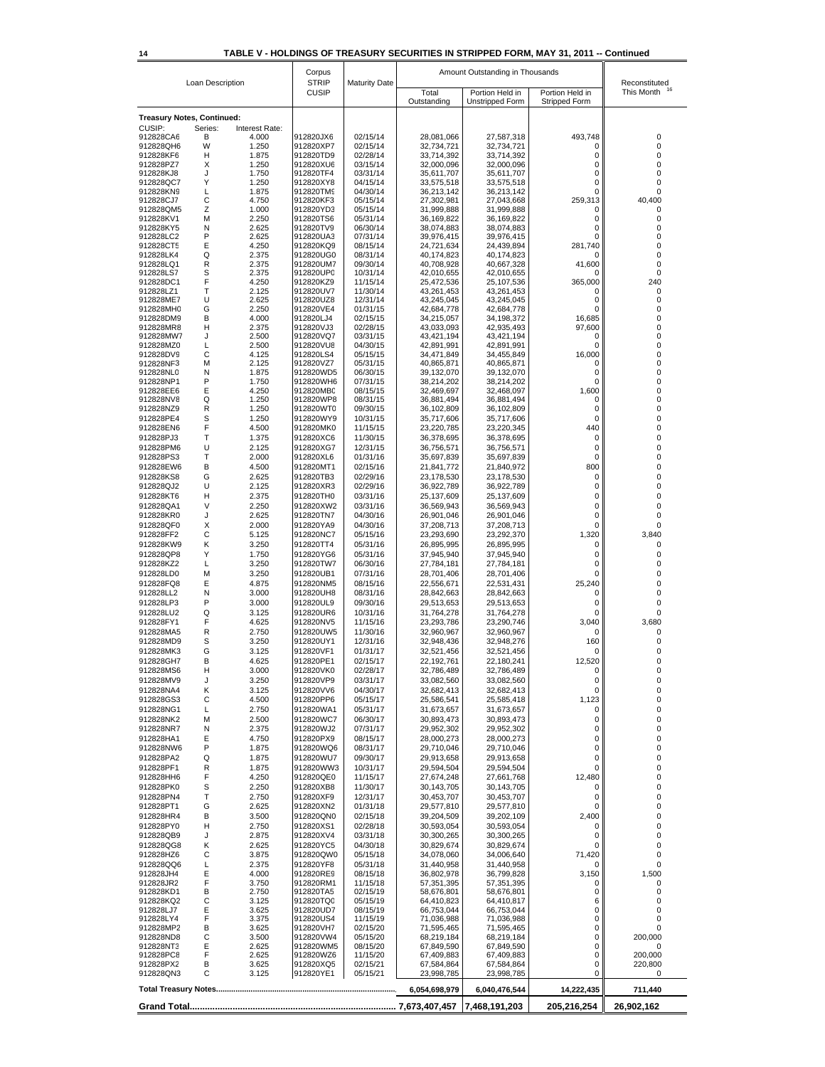#### **14 TABLE V - HOLDINGS OF TREASURY SECURITIES IN STRIPPED FORM, MAY 31, 2011 -- Continued**

|                                   | Loan Description |                | Corpus<br><b>STRIP</b> | <b>Maturity Date</b> |                          | Amount Outstanding in Thousands |                           | Reconstituted         |
|-----------------------------------|------------------|----------------|------------------------|----------------------|--------------------------|---------------------------------|---------------------------|-----------------------|
|                                   |                  |                | <b>CUSIP</b>           |                      | Total                    | Portion Held in                 | Portion Held in           | This Month            |
|                                   |                  |                |                        |                      | Outstanding              | Unstripped Form                 | Stripped Form             |                       |
| <b>Treasury Notes, Continued:</b> |                  |                |                        |                      |                          |                                 |                           |                       |
| CUSIP:                            | Series:          | Interest Rate: |                        |                      |                          |                                 |                           |                       |
| 912828CA6<br>912828QH6            | B<br>W           | 4.000<br>1.250 | 912820JX6<br>912820XP7 | 02/15/14<br>02/15/14 | 28,081,066<br>32,734,721 | 27,587,318<br>32,734,721        | 493,748<br>0              | 0<br>0                |
| 912828KF6                         | н                | 1.875          | 912820TD9              | 02/28/14             | 33,714,392               | 33,714,392                      | 0                         | 0                     |
| 912828PZ7                         | Χ                | 1.250          | 912820XU6              | 03/15/14             | 32,000,096               | 32,000,096                      | 0                         | 0                     |
| 912828KJ8<br>912828QC7            | J<br>Υ           | 1.750<br>1.250 | 912820TF4<br>912820XY8 | 03/31/14<br>04/15/14 | 35,611,707<br>33,575,518 | 35,611,707<br>33,575,518        | 0<br>0                    | 0<br>0                |
| 912828KN9                         | L                | 1.875          | 912820TM9              | 04/30/14             | 36,213,142               | 36,213,142                      | 0                         | 0                     |
| 912828CJ7                         | С                | 4.750          | 912820KF3              | 05/15/14             | 27,302,981               | 27,043,668                      | 259,313                   | 40,400                |
| 912828QM5                         | Z                | 1.000          | 912820YD3              | 05/15/14             | 31,999,888               | 31,999,888                      | 0                         | 0                     |
| 912828KV1<br>912828KY5            | M<br>N           | 2.250<br>2.625 | 912820TS6<br>912820TV9 | 05/31/14<br>06/30/14 | 36,169,822<br>38,074,883 | 36,169,822<br>38,074,883        | 0<br>0                    | 0<br>0                |
| 912828LC2                         | P                | 2.625          | 912820UA3              | 07/31/14             | 39,976,415               | 39,976,415                      | 0                         | 0                     |
| 912828CT5                         | E                | 4.250          | 912820KQ9              | 08/15/14             | 24,721,634               | 24,439,894                      | 281,740                   | 0                     |
| 912828LK4                         | Q                | 2.375          | 912820UG0              | 08/31/14             | 40,174,823               | 40,174,823                      | 0                         | 0                     |
| 912828LQ1<br>912828LS7            | R<br>S           | 2.375<br>2.375 | 912820UM7<br>912820UP0 | 09/30/14<br>10/31/14 | 40,708,928<br>42,010,655 | 40,667,328<br>42,010,655        | 41,600<br>0               | 0<br>0                |
| 912828DC1                         | F                | 4.250          | 912820KZ9              | 11/15/14             | 25,472,536               | 25,107,536                      | 365,000                   | 240                   |
| 912828LZ1                         | Т                | 2.125          | 912820UV7              | 11/30/14             | 43,261,453               | 43,261,453                      | 0                         | 0                     |
| 912828ME7                         | U<br>G           | 2.625<br>2.250 | 912820UZ8<br>912820VE4 | 12/31/14<br>01/31/15 | 43,245,045               | 43,245,045                      | 0<br>0                    | 0<br>0                |
| 912828MH0<br>912828DM9            | B                | 4.000          | 912820LJ4              | 02/15/15             | 42,684,778<br>34,215,057 | 42,684,778<br>34,198,372        | 16,685                    | 0                     |
| 912828MR8                         | н                | 2.375          | 912820VJ3              | 02/28/15             | 43,033,093               | 42,935,493                      | 97,600                    | 0                     |
| 912828MW7                         | J                | 2.500          | 912820VQ7              | 03/31/15             | 43,421,194               | 43,421,194                      | 0                         | 0                     |
| 912828MZ0<br>912828DV9            | L<br>С           | 2.500<br>4.125 | 912820VU8<br>912820LS4 | 04/30/15<br>05/15/15 | 42,891,991<br>34,471,849 | 42,891,991<br>34,455,849        | 0<br>16,000               | 0<br>0                |
| 912828NF3                         | М                | 2.125          | 912820VZ7              | 05/31/15             | 40,865,871               | 40,865,871                      | 0                         | 0                     |
| 912828NL0                         | N                | 1.875          | 912820WD5              | 06/30/15             | 39,132,070               | 39,132,070                      | 0                         | 0                     |
| 912828NP1                         | P                | 1.750          | 912820WH6              | 07/31/15             | 38,214,202               | 38,214,202                      | 0                         | 0                     |
| 912828EE6<br>912828NV8            | Ε<br>Q           | 4.250<br>1.250 | 912820MB0<br>912820WP8 | 08/15/15<br>08/31/15 | 32,469,697<br>36,881,494 | 32,468,097<br>36,881,494        | 1,600<br>0                | 0<br>0                |
| 912828NZ9                         | R                | 1.250          | 912820WT0              | 09/30/15             | 36,102,809               | 36,102,809                      | 0                         | 0                     |
| 912828PE4                         | S                | 1.250          | 912820WY9              | 10/31/15             | 35,717,606               | 35,717,606                      | 0                         | 0                     |
| 912828EN6                         | F                | 4.500          | 912820MK0              | 11/15/15             | 23,220,785               | 23,220,345                      | 440                       | 0                     |
| 912828PJ3                         | Т                | 1.375          | 912820XC6              | 11/30/15             | 36,378,695               | 36,378,695                      | 0                         | 0                     |
| 912828PM6<br>912828PS3            | U<br>Τ           | 2.125<br>2.000 | 912820XG7<br>912820XL6 | 12/31/15<br>01/31/16 | 36,756,571<br>35,697,839 | 36,756,571<br>35,697,839        | 0<br>0                    | 0<br>0                |
| 912828EW6                         | B                | 4.500          | 912820MT1              | 02/15/16             | 21,841,772               | 21,840,972                      | 800                       | 0                     |
| 912828KS8                         | G                | 2.625          | 912820TB3              | 02/29/16             | 23,178,530               | 23,178,530                      | 0                         | 0                     |
| 912828QJ2                         | U                | 2.125          | 912820XR3              | 02/29/16             | 36,922,789               | 36,922,789                      | 0                         | 0                     |
| 912828KT6                         | н                | 2.375          | 912820TH0              | 03/31/16             | 25,137,609               | 25,137,609                      | 0                         | 0                     |
| 912828QA1<br>912828KR0            | V<br>J           | 2.250<br>2.625 | 912820XW2<br>912820TN7 | 03/31/16<br>04/30/16 | 36,569,943<br>26,901,046 | 36,569,943<br>26,901,046        | 0<br>0                    | 0<br>0                |
| 912828QF0                         | X                | 2.000          | 912820YA9              | 04/30/16             | 37,208,713               | 37,208,713                      | 0                         | 0                     |
| 912828FF2                         | С                | 5.125          | 912820NC7              | 05/15/16             | 23,293,690               | 23,292,370                      | 1,320                     | 3,840                 |
| 912828KW9                         | Κ                | 3.250          | 912820TT4              | 05/31/16             | 26,895,995               | 26,895,995                      | 0                         | 0                     |
| 912828QP8                         | Υ                | 1.750          | 912820YG6              | 05/31/16             | 37,945,940               | 37,945,940                      | 0                         | 0                     |
| 912828KZ2<br>912828LD0            | L<br>М           | 3.250<br>3.250 | 912820TW7<br>912820UB1 | 06/30/16<br>07/31/16 | 27,784,181<br>28,701,406 | 27,784,181<br>28,701,406        | 0<br>0                    | 0<br>0                |
| 912828FQ8                         | Ε                | 4.875          | 912820NM5              | 08/15/16             | 22,556,671               | 22,531,431                      | 25,240                    | 0                     |
| 912828LL2                         | N                | 3.000          | 912820UH8              | 08/31/16             | 28,842,663               | 28,842,663                      | 0                         | 0                     |
| 912828LP3                         | P                | 3.000          | 912820UL9              | 09/30/16             | 29,513,653               | 29,513,653                      | 0                         | 0                     |
| 912828LU2                         | Q                | 3.125          | 912820UR6              | 10/31/16             | 31,764,278               | 31,764,278                      | 0                         | 0                     |
| 912828FY1<br>912828MA5            | F<br>R           | 4.625<br>2.750 | 912820NV5<br>912820UW5 | 11/15/16<br>11/30/16 | 23,293,786<br>32,960,967 | 23,290,746<br>32,960,967        | 3,040<br>0                | 3,680<br>0            |
| 912828MD9                         | S                | 3.250          | 912820UY1              | 12/31/16             | 32,948,436               | 32,948,276                      | 160                       | 0                     |
| 912828MK3                         | G                | 3.125          | 912820VF1              | 01/31/17             | 32,521,456               | 32,521,456                      | 0                         | 0                     |
| 912828GH7                         | B                | 4.625          | 912820PE1              | 02/15/17             | 22,192,761               | 22,180,241                      | 12,520                    | 0                     |
| 912828MS6                         | н                | 3.000          | 912820VK0              | 02/28/17             | 32,786,489               | 32,786,489                      | 0                         | 0                     |
| 912828MV9                         | J                | 3.250          | 912820VP9              | 03/31/17             | 33,082,560               | 33,082,560                      | 0                         | 0                     |
| 912828NA4<br>912828GS3            | κ<br>С           | 3.125<br>4.500 | 912820VV6<br>912820PP6 | 04/30/17<br>05/15/17 | 32,682,413<br>25,586,541 | 32,682,413<br>25,585,418        | 0<br>1,123                | 0<br>0                |
| 912828NG1                         | L                | 2.750          | 912820WA1              | 05/31/17             | 31,673,657               | 31,673,657                      | 0                         | 0                     |
| 912828NK2                         | M                | 2.500          | 912820WC7              | 06/30/17             | 30,893,473               | 30,893,473                      | 0                         | 0                     |
| 912828NR7                         | N                | 2.375          | 912820WJ2              | 07/31/17             | 29,952,302               | 29,952,302                      | 0                         | 0                     |
| 912828HA1<br>912828NW6            | E<br>P           | 4.750<br>1.875 | 912820PX9<br>912820WQ6 | 08/15/17<br>08/31/17 | 28,000,273<br>29,710,046 | 28,000,273<br>29,710,046        | 0<br>0                    | 0<br>0                |
| 912828PA2                         | Q                | 1.875          | 912820WU7              | 09/30/17             | 29,913,658               | 29,913,658                      | 0                         | 0                     |
| 912828PF1                         | R                | 1.875          | 912820WW3              | 10/31/17             | 29,594,504               | 29,594,504                      | 0                         | 0                     |
| 912828HH6                         | F                | 4.250          | 912820QE0              | 11/15/17             | 27,674,248               | 27,661,768                      | 12,480                    | 0                     |
| 912828PK0                         | S                | 2.250          | 912820XB8              | 11/30/17             | 30,143,705               | 30,143,705                      | 0                         | 0                     |
| 912828PN4                         | Т<br>G           | 2.750<br>2.625 | 912820XF9              | 12/31/17<br>01/31/18 | 30,453,707<br>29,577,810 | 30,453,707                      | 0<br>0                    | 0<br>0                |
| 912828PT1<br>912828HR4            | B                | 3.500          | 912820XN2<br>912820QN0 | 02/15/18             | 39,204,509               | 29,577,810<br>39,202,109        | 2,400                     | 0                     |
| 912828PY0                         | н                | 2.750          | 912820XS1              | 02/28/18             | 30,593,054               | 30,593,054                      | 0                         | 0                     |
| 912828QB9                         | J                | 2.875          | 912820XV4              | 03/31/18             | 30,300,265               | 30,300,265                      | 0                         | 0                     |
| 912828QG8                         | Κ                | 2.625          | 912820YC5              | 04/30/18             | 30,829,674               | 30,829,674                      | 0                         | 0                     |
| 912828HZ6                         | С                | 3.875          | 912820QW0              | 05/15/18             | 34,078,060               | 34,006,640                      | 71,420                    | 0                     |
| 912828QQ6<br>912828JH4            | L<br>Е           | 2.375<br>4.000 | 912820YF8<br>912820RE9 | 05/31/18<br>08/15/18 | 31,440,958<br>36,802,978 | 31,440,958<br>36,799,828        | 0<br>3,150                | 0<br>1,500            |
| 912828JR2                         | F                | 3.750          | 912820RM1              | 11/15/18             | 57,351,395               | 57,351,395                      | 0                         | 0                     |
| 912828KD1                         | В                | 2.750          | 912820TA5              | 02/15/19             | 58,676,801               | 58,676,801                      | 0                         | 0                     |
| 912828KQ2                         | С                | 3.125          | 912820TQ0              | 05/15/19             | 64,410,823               | 64,410,817                      | 6                         | 0                     |
| 912828LJ7<br>912828LY4            | Е<br>F           | 3.625<br>3.375 | 912820UD7<br>912820US4 | 08/15/19<br>11/15/19 | 66,753,044<br>71,036,988 | 66,753,044<br>71,036,988        | 0<br>0                    | 0<br>0                |
| 912828MP2                         | В                | 3.625          | 912820VH7              | 02/15/20             | 71,595,465               | 71,595,465                      | 0                         | 0                     |
| 912828ND8                         | С                | 3.500          | 912820VW4              | 05/15/20             | 68,219,184               | 68,219,184                      | 0                         | 200,000               |
| 912828NT3<br>912828PC8            | Ε<br>F           | 2.625<br>2.625 | 912820WM5<br>912820WZ6 | 08/15/20<br>11/15/20 | 67,849,590<br>67,409,883 | 67,849,590<br>67,409,883        | 0<br>0                    | 0<br>200,000          |
| 912828PX2                         | В                | 3.625          | 912820XQ5              | 02/15/21             | 67,584,864               | 67,584,864                      | 0                         | 220,800               |
| 912828QN3                         | с                | 3.125          | 912820YE1              | 05/15/21             | 23,998,785               | 23,998,785                      | 0                         | 0                     |
|                                   |                  |                |                        |                      | 6,054,698,979            | 6,040,476,544<br>7,468,191,203  | 14,222,435<br>205,216,254 | 711,440<br>26,902,162 |
|                                   |                  |                |                        |                      |                          |                                 |                           |                       |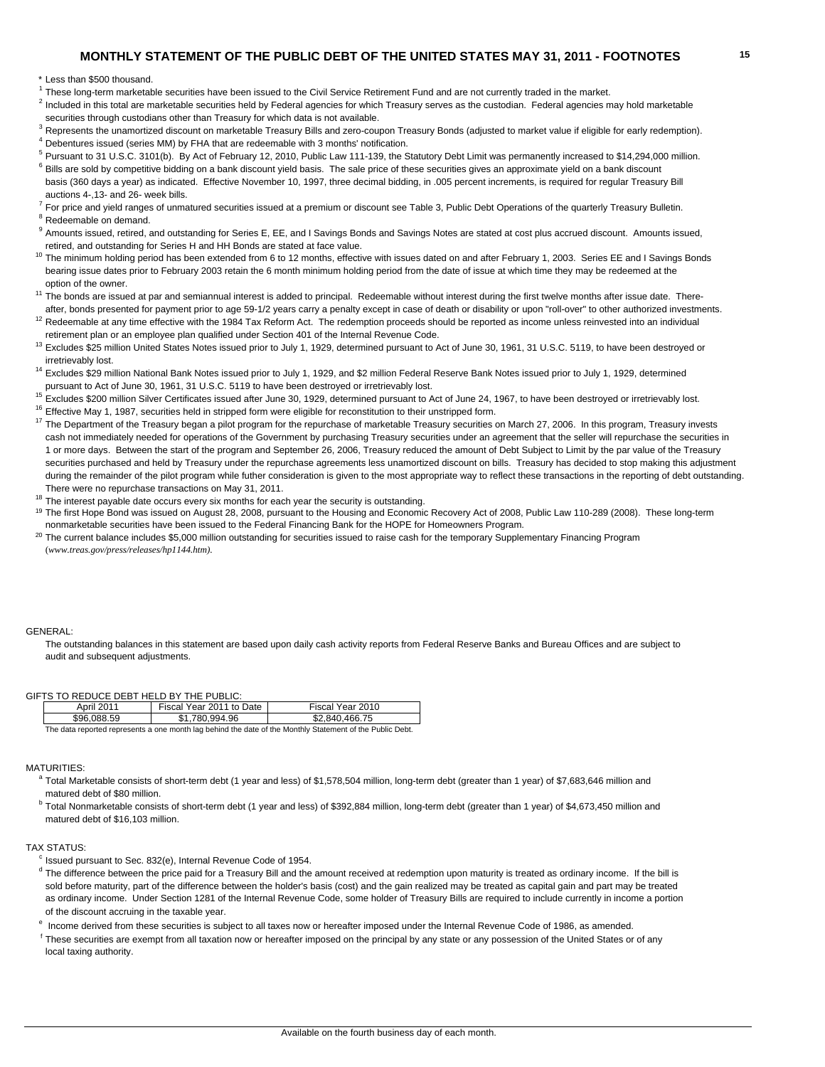### **MONTHLY STATEMENT OF THE PUBLIC DEBT OF THE UNITED STATES MAY 31, 2011 - FOOTNOTES 15**

\* Less than \$500 thousand.

<sup>1</sup> These long-term marketable securities have been issued to the Civil Service Retirement Fund and are not currently traded in the market.

<sup>2</sup> Included in this total are marketable securities held by Federal agencies for which Treasury serves as the custodian. Federal agencies may hold marketable securities through custodians other than Treasury for which data is not available.

<sup>3</sup> Represents the unamortized discount on marketable Treasury Bills and zero-coupon Treasury Bonds (adjusted to market value if eligible for early redemption).  $4$  Debentures issued (series MM) by FHA that are redeemable with 3 months' notification.

- <sup>5</sup> Pursuant to 31 U.S.C. 3101(b). By Act of February 12, 2010, Public Law 111-139, the Statutory Debt Limit was permanently increased to \$14,294,000 million.
- $6$  Bills are sold by competitive bidding on a bank discount yield basis. The sale price of these securities gives an approximate yield on a bank discount basis (360 days a year) as indicated. Effective November 10, 1997, three decimal bidding, in .005 percent increments, is required for regular Treasury Bill auctions 4-,13- and 26- week bills.
- $^7$  For price and yield ranges of unmatured securities issued at a premium or discount see Table 3, Public Debt Operations of the quarterly Treasury Bulletin. <sup>8</sup> Redeemable on demand.
- <sup>9</sup> Amounts issued, retired, and outstanding for Series E, EE, and I Savings Bonds and Savings Notes are stated at cost plus accrued discount. Amounts issued, retired, and outstanding for Series H and HH Bonds are stated at face value.
- <sup>10</sup> The minimum holding period has been extended from 6 to 12 months, effective with issues dated on and after February 1, 2003. Series EE and I Savings Bonds bearing issue dates prior to February 2003 retain the 6 month minimum holding period from the date of issue at which time they may be redeemed at the
- option of the owner.<br><sup>11</sup> The bonds are issued at par and semiannual interest is added to principal. Redeemable without interest during the first twelve months after issue date. Thereafter, bonds presented for payment prior to age 59-1/2 years carry a penalty except in case of death or disability or upon "roll-over" to other authorized investments.
- $12$  Redeemable at any time effective with the 1984 Tax Reform Act. The redemption proceeds should be reported as income unless reinvested into an individual retirement plan or an employee plan qualified under Section 401 of the Internal Revenue Code.
- <sup>13</sup> Excludes \$25 million United States Notes issued prior to July 1, 1929, determined pursuant to Act of June 30, 1961, 31 U.S.C. 5119, to have been destroyed or irretrievably lost.
- <sup>14</sup> Excludes \$29 million National Bank Notes issued prior to July 1, 1929, and \$2 million Federal Reserve Bank Notes issued prior to July 1, 1929, determined pursuant to Act of June 30, 1961, 31 U.S.C. 5119 to have been destroyed or irretrievably lost.
- <sup>15</sup> Excludes \$200 million Silver Certificates issued after June 30, 1929, determined pursuant to Act of June 24, 1967, to have been destroyed or irretrievably lost.<br><sup>16</sup> Effective May 1, 1987, securities held in stripped
- 
- <sup>17</sup> The Department of the Treasury began a pilot program for the repurchase of marketable Treasury securities on March 27, 2006. In this program, Treasury invests cash not immediately needed for operations of the Government by purchasing Treasury securities under an agreement that the seller will repurchase the securities in 1 or more days. Between the start of the program and September 26, 2006, Treasury reduced the amount of Debt Subject to Limit by the par value of the Treasury securities purchased and held by Treasury under the repurchase agreements less unamortized discount on bills. Treasury has decided to stop making this adjustment during the remainder of the pilot program while futher consideration is given to the most appropriate way to reflect these transactions in the reporting of debt outstanding. There were no repurchase transactions on May 31, 2011.
- $18$  The interest payable date occurs every six months for each year the security is outstanding.
- <sup>19</sup> The first Hope Bond was issued on August 28, 2008, pursuant to the Housing and Economic Recovery Act of 2008, Public Law 110-289 (2008). These long-term nonmarketable securities have been issued to the Federal Financing Bank for the HOPE for Homeowners Program.
- <sup>20</sup> The current balance includes \$5,000 million outstanding for securities issued to raise cash for the temporary Supplementary Financing Program (*www.treas.gov/press/releases/hp1144.htm).*

#### GENERAL:

The outstanding balances in this statement are based upon daily cash activity reports from Federal Reserve Banks and Bureau Offices and are subject to audit and subsequent adjustments.

#### GIFTS TO REDUCE DEBT HELD BY THE PUBLIC:

|                                                                                                           | April 2011  | Fiscal Year 2011 to Date | Fiscal Year 2010 |  |  |  |
|-----------------------------------------------------------------------------------------------------------|-------------|--------------------------|------------------|--|--|--|
|                                                                                                           | \$96.088.59 | \$1.780.994.96           | \$2.840.466.75   |  |  |  |
| The data reported represents a one month lag behind the date of the Monthly Statement of the Public Debt. |             |                          |                  |  |  |  |

#### MATURITIES:

- a Total Marketable consists of short-term debt (1 year and less) of \$1,578,504 million, long-term debt (greater than 1 year) of \$7,683,646 million and matured debt of \$80 million.
- <sup>b</sup> Total Nonmarketable consists of short-term debt (1 year and less) of \$392,884 million, long-term debt (greater than 1 year) of \$4,673,450 million and matured debt of \$16,103 million.

#### TAX STATUS:

 $c$  Issued pursuant to Sec. 832(e), Internal Revenue Code of 1954.

- $<sup>d</sup>$  The difference between the price paid for a Treasury Bill and the amount received at redemption upon maturity is treated as ordinary income. If the bill is</sup> sold before maturity, part of the difference between the holder's basis (cost) and the gain realized may be treated as capital gain and part may be treated as ordinary income. Under Section 1281 of the Internal Revenue Code, some holder of Treasury Bills are required to include currently in income a portion of the discount accruing in the taxable year.
- e Income derived from these securities is subject to all taxes now or hereafter imposed under the Internal Revenue Code of 1986, as amended.
- <sup>f</sup> These securities are exempt from all taxation now or hereafter imposed on the principal by any state or any possession of the United States or of any local taxing authority.